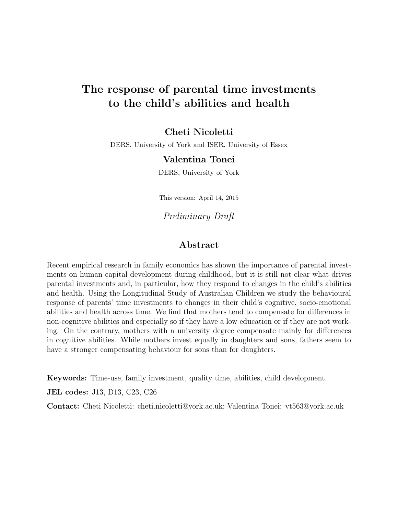# The response of parental time investments to the child's abilities and health

### Cheti Nicoletti

DERS, University of York and ISER, University of Essex

### Valentina Tonei

DERS, University of York

This version: April 14, 2015

Preliminary Draft

### Abstract

Recent empirical research in family economics has shown the importance of parental investments on human capital development during childhood, but it is still not clear what drives parental investments and, in particular, how they respond to changes in the child's abilities and health. Using the Longitudinal Study of Australian Children we study the behavioural response of parents' time investments to changes in their child's cognitive, socio-emotional abilities and health across time. We find that mothers tend to compensate for differences in non-cognitive abilities and especially so if they have a low education or if they are not working. On the contrary, mothers with a university degree compensate mainly for differences in cognitive abilities. While mothers invest equally in daughters and sons, fathers seem to have a stronger compensating behaviour for sons than for daughters.

Keywords: Time-use, family investment, quality time, abilities, child development.

JEL codes: J13, D13, C23, C26

Contact: Cheti Nicoletti: cheti.nicoletti@york.ac.uk; Valentina Tonei: vt563@york.ac.uk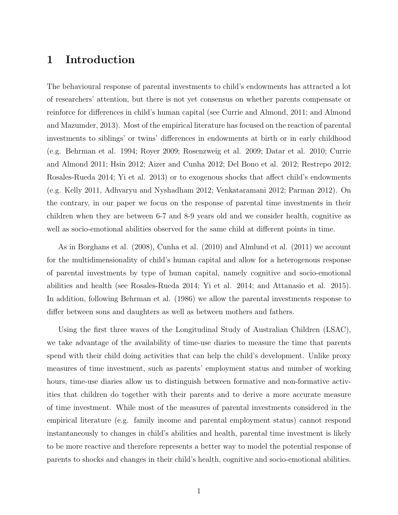### 1 Introduction

The behavioural response of parental investments to child's endowments has attracted a lot of researchers' attention, but there is not yet consensus on whether parents compensate or reinforce for differences in child's human capital (see Currie and Almond, 2011; and Almond and Mazumder, 2013). Most of the empirical literature has focused on the reaction of parental investments to siblings' or twins' differences in endowments at birth or in early childhood (e.g. Behrman et al. 1994; Royer 2009; Rosenzweig et al. 2009; Datar et al. 2010; Currie and Almond 2011; Hsin 2012; Aizer and Cunha 2012; Del Bono et al. 2012; Restrepo 2012; Rosales-Rueda 2014; Yi et al. 2013) or to exogenous shocks that affect child's endowments (e.g. Kelly 2011, Adhvaryu and Nyshadham 2012; Venkataramani 2012; Parman 2012). On the contrary, in our paper we focus on the response of parental time investments in their children when they are between 6-7 and 8-9 years old and we consider health, cognitive as well as socio-emotional abilities observed for the same child at different points in time.

As in Borghans et al. (2008), Cunha et al. (2010) and Almlund et al. (2011) we account for the multidimensionality of child's human capital and allow for a heterogenous response of parental investments by type of human capital, namely cognitive and socio-emotional abilities and health (see Rosales-Rueda 2014; Yi et al. 2014; and Attanasio et al. 2015). In addition, following Behrman et al. (1986) we allow the parental investments response to differ between sons and daughters as well as between mothers and fathers.

Using the first three waves of the Longitudinal Study of Australian Children (LSAC), we take advantage of the availability of time-use diaries to measure the time that parents spend with their child doing activities that can help the child's development. Unlike proxy measures of time investment, such as parents' employment status and number of working hours, time-use diaries allow us to distinguish between formative and non-formative activities that children do together with their parents and to derive a more accurate measure of time investment. While most of the measures of parental investments considered in the empirical literature (e.g. family income and parental employment status) cannot respond instantaneously to changes in child's abilities and health, parental time investment is likely to be more reactive and therefore represents a better way to model the potential response of parents to shocks and changes in their child's health, cognitive and socio-emotional abilities.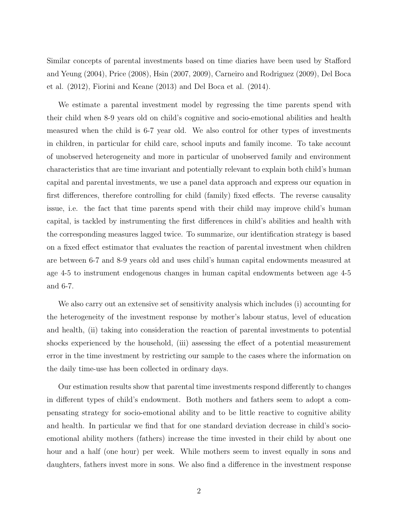Similar concepts of parental investments based on time diaries have been used by Stafford and Yeung (2004), Price (2008), Hsin (2007, 2009), Carneiro and Rodriguez (2009), Del Boca et al. (2012), Fiorini and Keane (2013) and Del Boca et al. (2014).

We estimate a parental investment model by regressing the time parents spend with their child when 8-9 years old on child's cognitive and socio-emotional abilities and health measured when the child is 6-7 year old. We also control for other types of investments in children, in particular for child care, school inputs and family income. To take account of unobserved heterogeneity and more in particular of unobserved family and environment characteristics that are time invariant and potentially relevant to explain both child's human capital and parental investments, we use a panel data approach and express our equation in first differences, therefore controlling for child (family) fixed effects. The reverse causality issue, i.e. the fact that time parents spend with their child may improve child's human capital, is tackled by instrumenting the first differences in child's abilities and health with the corresponding measures lagged twice. To summarize, our identification strategy is based on a fixed effect estimator that evaluates the reaction of parental investment when children are between 6-7 and 8-9 years old and uses child's human capital endowments measured at age 4-5 to instrument endogenous changes in human capital endowments between age 4-5 and 6-7.

We also carry out an extensive set of sensitivity analysis which includes (i) accounting for the heterogeneity of the investment response by mother's labour status, level of education and health, (ii) taking into consideration the reaction of parental investments to potential shocks experienced by the household, (iii) assessing the effect of a potential measurement error in the time investment by restricting our sample to the cases where the information on the daily time-use has been collected in ordinary days.

Our estimation results show that parental time investments respond differently to changes in different types of child's endowment. Both mothers and fathers seem to adopt a compensating strategy for socio-emotional ability and to be little reactive to cognitive ability and health. In particular we find that for one standard deviation decrease in child's socioemotional ability mothers (fathers) increase the time invested in their child by about one hour and a half (one hour) per week. While mothers seem to invest equally in sons and daughters, fathers invest more in sons. We also find a difference in the investment response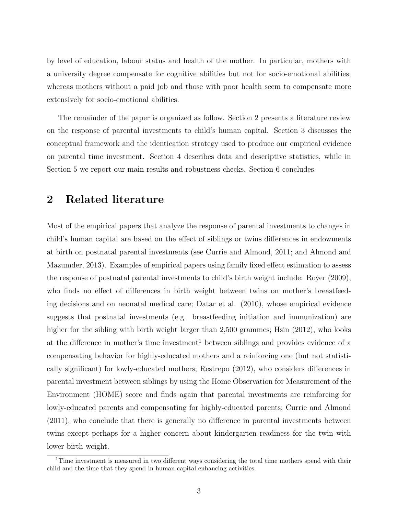by level of education, labour status and health of the mother. In particular, mothers with a university degree compensate for cognitive abilities but not for socio-emotional abilities; whereas mothers without a paid job and those with poor health seem to compensate more extensively for socio-emotional abilities.

The remainder of the paper is organized as follow. Section [2](#page-3-0) presents a literature review on the response of parental investments to child's human capital. Section [3](#page-6-0) discusses the conceptual framework and the identication strategy used to produce our empirical evidence on parental time investment. Section [4](#page-10-0) describes data and descriptive statistics, while in Section [5](#page-16-0) we report our main results and robustness checks. Section [6](#page-21-0) concludes.

### <span id="page-3-0"></span>2 Related literature

Most of the empirical papers that analyze the response of parental investments to changes in child's human capital are based on the effect of siblings or twins differences in endowments at birth on postnatal parental investments (see Currie and Almond, 2011; and Almond and Mazumder, 2013). Examples of empirical papers using family fixed effect estimation to assess the response of postnatal parental investments to child's birth weight include: Royer (2009), who finds no effect of differences in birth weight between twins on mother's breastfeeding decisions and on neonatal medical care; Datar et al. (2010), whose empirical evidence suggests that postnatal investments (e.g. breastfeeding initiation and immunization) are higher for the sibling with birth weight larger than 2,500 grammes; Hsin (2012), who looks at the difference in mother's time investment<sup>[1](#page-3-1)</sup> between siblings and provides evidence of a compensating behavior for highly-educated mothers and a reinforcing one (but not statistically significant) for lowly-educated mothers; Restrepo (2012), who considers differences in parental investment between siblings by using the Home Observation for Measurement of the Environment (HOME) score and finds again that parental investments are reinforcing for lowly-educated parents and compensating for highly-educated parents; Currie and Almond (2011), who conclude that there is generally no difference in parental investments between twins except perhaps for a higher concern about kindergarten readiness for the twin with lower birth weight.

<span id="page-3-1"></span><sup>1</sup>Time investment is measured in two different ways considering the total time mothers spend with their child and the time that they spend in human capital enhancing activities.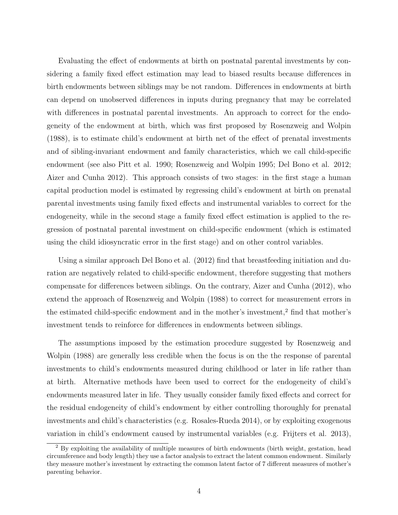Evaluating the effect of endowments at birth on postnatal parental investments by considering a family fixed effect estimation may lead to biased results because differences in birth endowments between siblings may be not random. Differences in endowments at birth can depend on unobserved differences in inputs during pregnancy that may be correlated with differences in postnatal parental investments. An approach to correct for the endogeneity of the endowment at birth, which was first proposed by Rosenzweig and Wolpin (1988), is to estimate child's endowment at birth net of the effect of prenatal investments and of sibling-invariant endowment and family characteristics, which we call child-specific endowment (see also Pitt et al. 1990; Rosenzweig and Wolpin 1995; Del Bono et al. 2012; Aizer and Cunha 2012). This approach consists of two stages: in the first stage a human capital production model is estimated by regressing child's endowment at birth on prenatal parental investments using family fixed effects and instrumental variables to correct for the endogeneity, while in the second stage a family fixed effect estimation is applied to the regression of postnatal parental investment on child-specific endowment (which is estimated using the child idiosyncratic error in the first stage) and on other control variables.

Using a similar approach Del Bono et al. (2012) find that breastfeeding initiation and duration are negatively related to child-specific endowment, therefore suggesting that mothers compensate for differences between siblings. On the contrary, Aizer and Cunha (2012), who extend the approach of Rosenzweig and Wolpin (1988) to correct for measurement errors in the estimated child-specific endowment and in the mother's investment,[2](#page-4-0) find that mother's investment tends to reinforce for differences in endowments between siblings.

The assumptions imposed by the estimation procedure suggested by Rosenzweig and Wolpin (1988) are generally less credible when the focus is on the the response of parental investments to child's endowments measured during childhood or later in life rather than at birth. Alternative methods have been used to correct for the endogeneity of child's endowments measured later in life. They usually consider family fixed effects and correct for the residual endogeneity of child's endowment by either controlling thoroughly for prenatal investments and child's characteristics (e.g. Rosales-Rueda 2014), or by exploiting exogenous variation in child's endowment caused by instrumental variables (e.g. Frijters et al. 2013),

<span id="page-4-0"></span><sup>&</sup>lt;sup>2</sup> By exploiting the availability of multiple measures of birth endowments (birth weight, gestation, head circumference and body length) they use a factor analysis to extract the latent common endowment. Similarly they measure mother's investment by extracting the common latent factor of 7 different measures of mother's parenting behavior.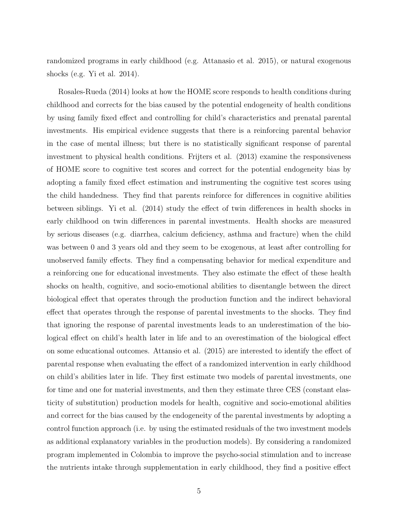randomized programs in early childhood (e.g. Attanasio et al. 2015), or natural exogenous shocks (e.g. Yi et al. 2014).

Rosales-Rueda (2014) looks at how the HOME score responds to health conditions during childhood and corrects for the bias caused by the potential endogeneity of health conditions by using family fixed effect and controlling for child's characteristics and prenatal parental investments. His empirical evidence suggests that there is a reinforcing parental behavior in the case of mental illness; but there is no statistically significant response of parental investment to physical health conditions. Frijters et al. (2013) examine the responsiveness of HOME score to cognitive test scores and correct for the potential endogeneity bias by adopting a family fixed effect estimation and instrumenting the cognitive test scores using the child handedness. They find that parents reinforce for differences in cognitive abilities between siblings. Yi et al. (2014) study the effect of twin differences in health shocks in early childhood on twin differences in parental investments. Health shocks are measured by serious diseases (e.g. diarrhea, calcium deficiency, asthma and fracture) when the child was between 0 and 3 years old and they seem to be exogenous, at least after controlling for unobserved family effects. They find a compensating behavior for medical expenditure and a reinforcing one for educational investments. They also estimate the effect of these health shocks on health, cognitive, and socio-emotional abilities to disentangle between the direct biological effect that operates through the production function and the indirect behavioral effect that operates through the response of parental investments to the shocks. They find that ignoring the response of parental investments leads to an underestimation of the biological effect on child's health later in life and to an overestimation of the biological effect on some educational outcomes. Attansio et al. (2015) are interested to identify the effect of parental response when evaluating the effect of a randomized intervention in early childhood on child's abilities later in life. They first estimate two models of parental investments, one for time and one for material investments, and then they estimate three CES (constant elasticity of substitution) production models for health, cognitive and socio-emotional abilities and correct for the bias caused by the endogeneity of the parental investments by adopting a control function approach (i.e. by using the estimated residuals of the two investment models as additional explanatory variables in the production models). By considering a randomized program implemented in Colombia to improve the psycho-social stimulation and to increase the nutrients intake through supplementation in early childhood, they find a positive effect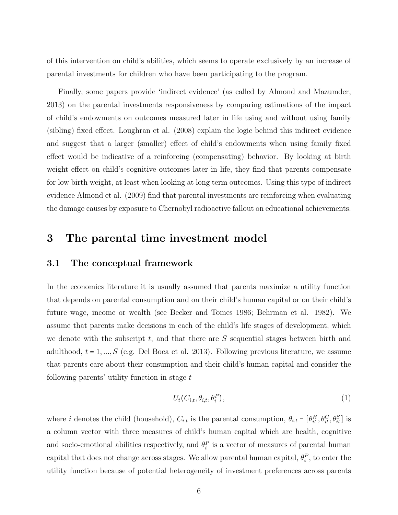of this intervention on child's abilities, which seems to operate exclusively by an increase of parental investments for children who have been participating to the program.

Finally, some papers provide 'indirect evidence' (as called by Almond and Mazumder, 2013) on the parental investments responsiveness by comparing estimations of the impact of child's endowments on outcomes measured later in life using and without using family (sibling) fixed effect. Loughran et al. (2008) explain the logic behind this indirect evidence and suggest that a larger (smaller) effect of child's endowments when using family fixed effect would be indicative of a reinforcing (compensating) behavior. By looking at birth weight effect on child's cognitive outcomes later in life, they find that parents compensate for low birth weight, at least when looking at long term outcomes. Using this type of indirect evidence Almond et al. (2009) find that parental investments are reinforcing when evaluating the damage causes by exposure to Chernobyl radioactive fallout on educational achievements.

### <span id="page-6-0"></span>3 The parental time investment model

### 3.1 The conceptual framework

In the economics literature it is usually assumed that parents maximize a utility function that depends on parental consumption and on their child's human capital or on their child's future wage, income or wealth (see Becker and Tomes 1986; Behrman et al. 1982). We assume that parents make decisions in each of the child's life stages of development, which we denote with the subscript  $t$ , and that there are  $S$  sequential stages between birth and adulthood,  $t = 1, ..., S$  (e.g. Del Boca et al. 2013). Following previous literature, we assume that parents care about their consumption and their child's human capital and consider the following parents' utility function in stage  $t$ 

<span id="page-6-1"></span>
$$
U_t(C_{i,t}, \theta_{i,t}, \theta_i^P), \tag{1}
$$

where *i* denotes the child (household),  $C_{i,t}$  is the parental consumption,  $\theta_{i,t} = [\theta_{it}^H, \theta_{it}^C, \theta_{it}^S]$  is a column vector with three measures of child's human capital which are health, cognitive and socio-emotional abilities respectively, and  $\theta_i^P$  is a vector of measures of parental human capital that does not change across stages. We allow parental human capital,  $\theta_i^P$ , to enter the utility function because of potential heterogeneity of investment preferences across parents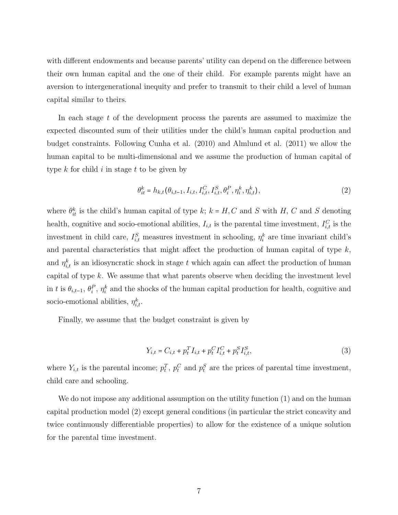with different endowments and because parents' utility can depend on the difference between their own human capital and the one of their child. For example parents might have an aversion to intergenerational inequity and prefer to transmit to their child a level of human capital similar to theirs.

In each stage  $t$  of the development process the parents are assumed to maximize the expected discounted sum of their utilities under the child's human capital production and budget constraints. Following Cunha et al. (2010) and Almlund et al. (2011) we allow the human capital to be multi-dimensional and we assume the production of human capital of type  $k$  for child  $i$  in stage  $t$  to be given by

<span id="page-7-0"></span>
$$
\theta_{it}^k = h_{k,t}(\theta_{i,t-1}, I_{i,t}, I_{i,t}^C, I_{i,t}^S, \theta_i^P, \eta_i^k, \eta_{i,t}^k),
$$
\n(2)

where  $\theta_{it}^k$  is the child's human capital of type k;  $k = H, C$  and S with H, C and S denoting health, cognitive and socio-emotional abilities,  $I_{i,t}$  is the parental time investment,  $I_{i,t}^C$  is the investment in child care,  $I_{i,t}^S$  measures investment in schooling,  $\eta_i^k$  are time invariant child's and parental characteristics that might affect the production of human capital of type  $k$ , and  $\eta_{i,t}^k$  is an idiosyncratic shock in stage t which again can affect the production of human capital of type  $k$ . We assume that what parents observe when deciding the investment level in t is  $\theta_{i,t-1}, \theta_i^P, \eta_i^k$  and the shocks of the human capital production for health, cognitive and socio-emotional abilities,  $\eta_{i,t}^k$ .

Finally, we assume that the budget constraint is given by

$$
Y_{i,t} = C_{i,t} + p_t^T I_{i,t} + p_t^C I_{i,t}^C + p_t^S I_{i,t}^S,
$$
\n(3)

where  $Y_{i,t}$  is the parental income;  $p_t^T$ ,  $p_t^C$  and  $p_t^S$  are the prices of parental time investment, child care and schooling.

We do not impose any additional assumption on the utility function [\(1\)](#page-6-1) and on the human capital production model [\(2\)](#page-7-0) except general conditions (in particular the strict concavity and twice continuously differentiable properties) to allow for the existence of a unique solution for the parental time investment.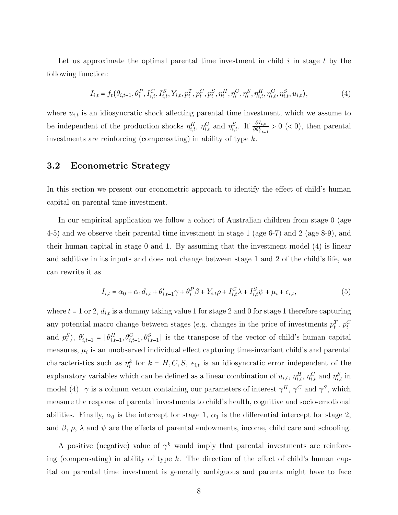Let us approximate the optimal parental time investment in child  $i$  in stage  $t$  by the following function:

<span id="page-8-0"></span>
$$
I_{i,t} = f_t(\theta_{i,t-1}, \theta_i^P, I_{i,t}^C, I_{i,t}^S, Y_{i,t}, p_t^T, p_t^C, p_t^S, \eta_t^H, \eta_i^C, \eta_i^S, \eta_{i,t}^H, \eta_{i,t}^C, \eta_{i,t}^S, u_{i,t}),
$$
(4)

where  $u_{i,t}$  is an idiosyncratic shock affecting parental time investment, which we assume to be independent of the production shocks  $\eta_{i,t}^H$ ,  $\eta_{i,t}^C$  and  $\eta_{i,t}^S$ . If  $\frac{\partial I_{i,t}}{\partial \theta_{i,t-1}^k} > 0$  (< 0), then parental investments are reinforcing (compensating) in ability of type  $k$ .

### 3.2 Econometric Strategy

In this section we present our econometric approach to identify the effect of child's human capital on parental time investment.

In our empirical application we follow a cohort of Australian children from stage 0 (age 4-5) and we observe their parental time investment in stage 1 (age 6-7) and 2 (age 8-9), and their human capital in stage 0 and 1. By assuming that the investment model [\(4\)](#page-8-0) is linear and additive in its inputs and does not change between stage 1 and 2 of the child's life, we can rewrite it as

<span id="page-8-1"></span>
$$
I_{i,t} = \alpha_0 + \alpha_1 d_{i,t} + \theta'_{i,t-1} \gamma + \theta_i^P \beta + Y_{i,t} \rho + I_{i,t}^C \lambda + I_{i,t}^S \psi + \mu_i + \epsilon_{i,t},
$$
\n
$$
\tag{5}
$$

where  $t = 1$  or 2,  $d_{i,t}$  is a dummy taking value 1 for stage 2 and 0 for stage 1 therefore capturing any potential macro change between stages (e.g. changes in the price of investments  $p_t^T$ ,  $p_t^C$ and  $p_t^S$ ,  $\theta'_{i,t-1} = [\theta_{i,t-1}^H, \theta_{i,t-1}^C, \theta_{i,t-1}^S]$  is the transpose of the vector of child's human capital measures,  $\mu_i$  is an unobserved individual effect capturing time-invariant child's and parental characteristics such as  $\eta_i^k$  for  $k = H, C, S, \epsilon_{i,t}$  is an idiosyncratic error independent of the explanatory variables which can be defined as a linear combination of  $u_{i,t}$ ,  $\eta_{i,t}^H$ ,  $\eta_{i,t}^C$  and  $\eta_{i,t}^S$  in model [\(4\)](#page-8-0).  $\gamma$  is a column vector containing our parameters of interest  $\gamma^H$ ,  $\gamma^C$  and  $\gamma^S$ , which measure the response of parental investments to child's health, cognitive and socio-emotional abilities. Finally,  $\alpha_0$  is the intercept for stage 1,  $\alpha_1$  is the differential intercept for stage 2, and  $\beta$ ,  $\rho$ ,  $\lambda$  and  $\psi$  are the effects of parental endowments, income, child care and schooling.

A positive (negative) value of  $\gamma^k$  would imply that parental investments are reinforcing (compensating) in ability of type k. The direction of the effect of child's human capital on parental time investment is generally ambiguous and parents might have to face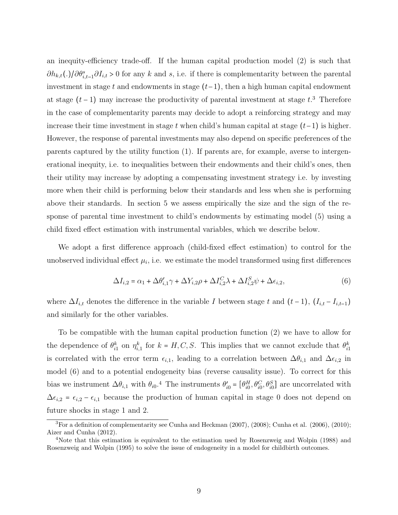an inequity-efficiency trade-off. If the human capital production model [\(2\)](#page-7-0) is such that  $\partial h_{k,t}(.)/\partial \theta_{i,t-1}^s \partial I_{i,t} > 0$  for any k and s, i.e. if there is complementarity between the parental investment in stage t and endowments in stage  $(t-1)$ , then a high human capital endowment at stage  $(t-1)$  may increase the productivity of parental investment at stage  $t^3$  $t^3$ . Therefore in the case of complementarity parents may decide to adopt a reinforcing strategy and may increase their time investment in stage t when child's human capital at stage  $(t-1)$  is higher. However, the response of parental investments may also depend on specific preferences of the parents captured by the utility function [\(1\)](#page-6-1). If parents are, for example, averse to intergenerational inequity, i.e. to inequalities between their endowments and their child's ones, then their utility may increase by adopting a compensating investment strategy i.e. by investing more when their child is performing below their standards and less when she is performing above their standards. In section [5](#page-16-0) we assess empirically the size and the sign of the response of parental time investment to child's endowments by estimating model [\(5\)](#page-8-1) using a child fixed effect estimation with instrumental variables, which we describe below.

We adopt a first difference approach (child-fixed effect estimation) to control for the unobserved individual effect  $\mu_i$ , i.e. we estimate the model transformed using first differences

<span id="page-9-1"></span>
$$
\Delta I_{i,2} = \alpha_1 + \Delta \theta'_{i,1} \gamma + \Delta Y_{i,2} \rho + \Delta I_{i,2}^C \lambda + \Delta I_{i,2}^S \psi + \Delta \epsilon_{i,2},
$$
\n
$$
\tag{6}
$$

where  $\Delta I_{i,t}$  denotes the difference in the variable I between stage t and  $(t-1)$ ,  $(I_{i,t} - I_{i,t-1})$ and similarly for the other variables.

To be compatible with the human capital production function [\(2\)](#page-7-0) we have to allow for the dependence of  $\theta_{i1}^k$  on  $\eta_{i,1}^k$  for  $k = H, C, S$ . This implies that we cannot exclude that  $\theta_{i1}^k$ is correlated with the error term  $\epsilon_{i,1}$ , leading to a correlation between  $\Delta \theta_{i,1}$  and  $\Delta \epsilon_{i,2}$  in model [\(6\)](#page-9-1) and to a potential endogeneity bias (reverse causality issue). To correct for this bias we instrument  $\Delta\theta_{i,1}$  with  $\theta_{i0}.^4$  $\theta_{i0}.^4$  The instruments  $\theta'_{i0} = [\theta_{i0}^H, \theta_{i0}^C, \theta_{i0}^S]$  are uncorrelated with  $\Delta \epsilon_{i,2} = \epsilon_{i,2} - \epsilon_{i,1}$  because the production of human capital in stage 0 does not depend on future shocks in stage 1 and 2.

<span id="page-9-0"></span><sup>3</sup>For a definition of complementarity see Cunha and Heckman (2007), (2008); Cunha et al. (2006), (2010); Aizer and Cunha (2012).

<span id="page-9-2"></span><sup>4</sup>Note that this estimation is equivalent to the estimation used by Rosenzweig and Wolpin (1988) and Rosenzweig and Wolpin (1995) to solve the issue of endogeneity in a model for childbirth outcomes.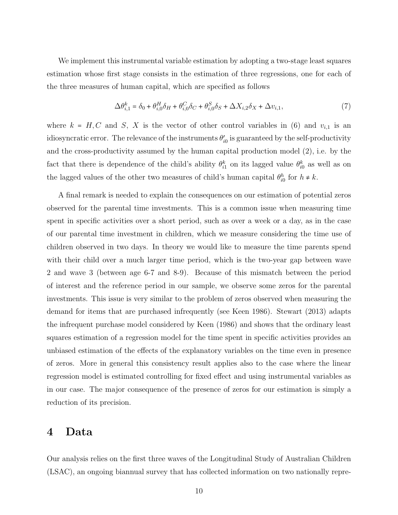We implement this instrumental variable estimation by adopting a two-stage least squares estimation whose first stage consists in the estimation of three regressions, one for each of the three measures of human capital, which are specified as follows

$$
\Delta \theta_{i,1}^k = \delta_0 + \theta_{i,0}^H \delta_H + \theta_{i,0}^C \delta_C + \theta_{i,0}^S \delta_S + \Delta X_{i,2} \delta_X + \Delta v_{i,1},\tag{7}
$$

where  $k = H, C$  and S, X is the vector of other control variables in [\(6\)](#page-9-1) and  $v_{i,1}$  is an idiosyncratic error. The relevance of the instruments  $\theta'_{i0}$  is guaranteed by the self-productivity and the cross-productivity assumed by the human capital production model [\(2\)](#page-7-0), i.e. by the fact that there is dependence of the child's ability  $\theta_{i1}^k$  on its lagged value  $\theta_{i0}^k$  as well as on the lagged values of the other two measures of child's human capital  $\theta_{i0}^h$  for  $h \neq k$ .

A final remark is needed to explain the consequences on our estimation of potential zeros observed for the parental time investments. This is a common issue when measuring time spent in specific activities over a short period, such as over a week or a day, as in the case of our parental time investment in children, which we measure considering the time use of children observed in two days. In theory we would like to measure the time parents spend with their child over a much larger time period, which is the two-year gap between wave 2 and wave 3 (between age 6-7 and 8-9). Because of this mismatch between the period of interest and the reference period in our sample, we observe some zeros for the parental investments. This issue is very similar to the problem of zeros observed when measuring the demand for items that are purchased infrequently (see Keen 1986). Stewart (2013) adapts the infrequent purchase model considered by Keen (1986) and shows that the ordinary least squares estimation of a regression model for the time spent in specific activities provides an unbiased estimation of the effects of the explanatory variables on the time even in presence of zeros. More in general this consistency result applies also to the case where the linear regression model is estimated controlling for fixed effect and using instrumental variables as in our case. The major consequence of the presence of zeros for our estimation is simply a reduction of its precision.

### <span id="page-10-0"></span>4 Data

Our analysis relies on the first three waves of the Longitudinal Study of Australian Children (LSAC), an ongoing biannual survey that has collected information on two nationally repre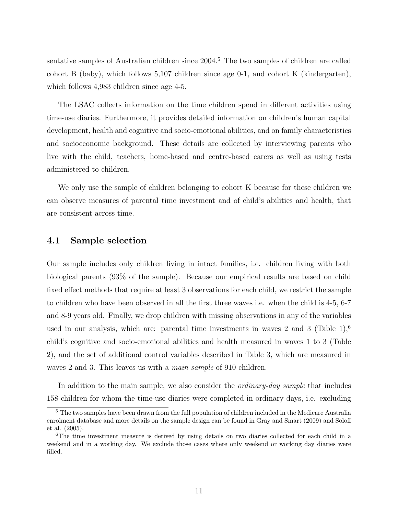sentative samples of Australian children since 2004.<sup>[5](#page-11-0)</sup> The two samples of children are called cohort B (baby), which follows 5,107 children since age 0-1, and cohort K (kindergarten), which follows 4,983 children since age 4-5.

The LSAC collects information on the time children spend in different activities using time-use diaries. Furthermore, it provides detailed information on children's human capital development, health and cognitive and socio-emotional abilities, and on family characteristics and socioeconomic background. These details are collected by interviewing parents who live with the child, teachers, home-based and centre-based carers as well as using tests administered to children.

We only use the sample of children belonging to cohort K because for these children we can observe measures of parental time investment and of child's abilities and health, that are consistent across time.

#### 4.1 Sample selection

Our sample includes only children living in intact families, i.e. children living with both biological parents (93% of the sample). Because our empirical results are based on child fixed effect methods that require at least 3 observations for each child, we restrict the sample to children who have been observed in all the first three waves i.e. when the child is 4-5, 6-7 and 8-9 years old. Finally, we drop children with missing observations in any of the variables used in our analysis, which are: parental time investments in waves 2 and 3 (Table  $1$ ),<sup>[6](#page-11-1)</sup> child's cognitive and socio-emotional abilities and health measured in waves 1 to 3 (Table 2), and the set of additional control variables described in Table 3, which are measured in waves 2 and 3. This leaves us with a *main sample* of 910 children.

In addition to the main sample, we also consider the *ordinary-day sample* that includes 158 children for whom the time-use diaries were completed in ordinary days, i.e. excluding

<span id="page-11-0"></span><sup>&</sup>lt;sup>5</sup> The two samples have been drawn from the full population of children included in the Medicare Australia enrolment database and more details on the sample design can be found in Gray and Smart (2009) and Soloff et al. (2005).

<span id="page-11-1"></span><sup>&</sup>lt;sup>6</sup>The time investment measure is derived by using details on two diaries collected for each child in a weekend and in a working day. We exclude those cases where only weekend or working day diaries were filled.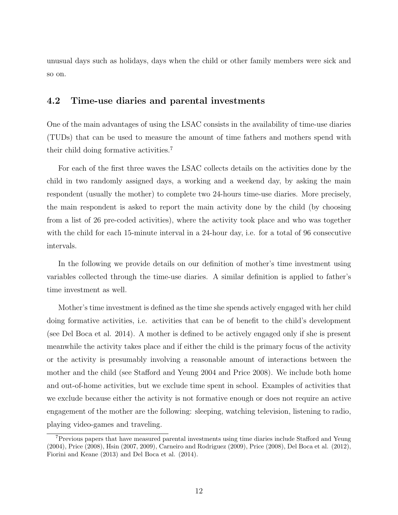unusual days such as holidays, days when the child or other family members were sick and so on.

### 4.2 Time-use diaries and parental investments

One of the main advantages of using the LSAC consists in the availability of time-use diaries (TUDs) that can be used to measure the amount of time fathers and mothers spend with their child doing formative activities.[7](#page-12-0)

For each of the first three waves the LSAC collects details on the activities done by the child in two randomly assigned days, a working and a weekend day, by asking the main respondent (usually the mother) to complete two 24-hours time-use diaries. More precisely, the main respondent is asked to report the main activity done by the child (by choosing from a list of 26 pre-coded activities), where the activity took place and who was together with the child for each 15-minute interval in a 24-hour day, i.e. for a total of 96 consecutive intervals.

In the following we provide details on our definition of mother's time investment using variables collected through the time-use diaries. A similar definition is applied to father's time investment as well.

Mother's time investment is defined as the time she spends actively engaged with her child doing formative activities, i.e. activities that can be of benefit to the child's development (see Del Boca et al. 2014). A mother is defined to be actively engaged only if she is present meanwhile the activity takes place and if either the child is the primary focus of the activity or the activity is presumably involving a reasonable amount of interactions between the mother and the child (see Stafford and Yeung 2004 and Price 2008). We include both home and out-of-home activities, but we exclude time spent in school. Examples of activities that we exclude because either the activity is not formative enough or does not require an active engagement of the mother are the following: sleeping, watching television, listening to radio, playing video-games and traveling.

<span id="page-12-0"></span><sup>7</sup>Previous papers that have measured parental investments using time diaries include Stafford and Yeung (2004), Price (2008), Hsin (2007, 2009), Carneiro and Rodriguez (2009), Price (2008), Del Boca et al. (2012), Fiorini and Keane (2013) and Del Boca et al. (2014).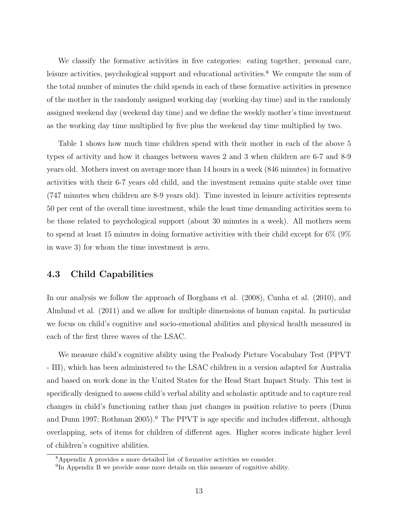We classify the formative activities in five categories: eating together, personal care, leisure activities, psychological support and educational activities.<sup>[8](#page-13-0)</sup> We compute the sum of the total number of minutes the child spends in each of these formative activities in presence of the mother in the randomly assigned working day (working day time) and in the randomly assigned weekend day (weekend day time) and we define the weekly mother's time investment as the working day time multiplied by five plus the weekend day time multiplied by two.

Table 1 shows how much time children spend with their mother in each of the above 5 types of activity and how it changes between waves 2 and 3 when children are 6-7 and 8-9 years old. Mothers invest on average more than 14 hours in a week (846 minutes) in formative activities with their 6-7 years old child, and the investment remains quite stable over time (747 minutes when children are 8-9 years old). Time invested in leisure activities represents 50 per cent of the overall time investment, while the least time demanding activities seem to be those related to psychological support (about 30 minutes in a week). All mothers seem to spend at least 15 minutes in doing formative activities with their child except for 6% (9% in wave 3) for whom the time investment is zero.

### 4.3 Child Capabilities

In our analysis we follow the approach of Borghans et al. (2008), Cunha et al. (2010), and Almlund et al. (2011) and we allow for multiple dimensions of human capital. In particular we focus on child's cognitive and socio-emotional abilities and physical health measured in each of the first three waves of the LSAC.

We measure child's cognitive ability using the Peabody Picture Vocabulary Test (PPVT - III), which has been administered to the LSAC children in a version adapted for Australia and based on work done in the United States for the Head Start Impact Study. This test is specifically designed to assess child's verbal ability and scholastic aptitude and to capture real changes in child's functioning rather than just changes in position relative to peers (Dunn and Dunn 1[9](#page-13-1)97; Rothman 2005).<sup>9</sup> The PPVT is age specific and includes different, although overlapping, sets of items for children of different ages. Higher scores indicate higher level of children's cognitive abilities.

<span id="page-13-0"></span><sup>8</sup>Appendix A provides a more detailed list of formative activities we consider.

<span id="page-13-1"></span><sup>&</sup>lt;sup>9</sup>In Appendix B we provide some more details on this measure of cognitive ability.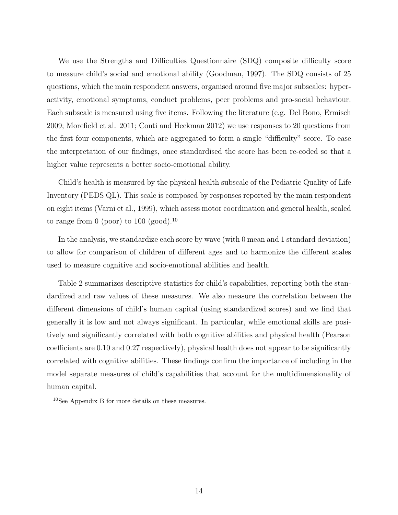We use the Strengths and Difficulties Questionnaire (SDQ) composite difficulty score to measure child's social and emotional ability (Goodman, 1997). The SDQ consists of 25 questions, which the main respondent answers, organised around five major subscales: hyperactivity, emotional symptoms, conduct problems, peer problems and pro-social behaviour. Each subscale is measured using five items. Following the literature (e.g. Del Bono, Ermisch 2009; Morefield et al. 2011; Conti and Heckman 2012) we use responses to 20 questions from the first four components, which are aggregated to form a single "difficulty" score. To ease the interpretation of our findings, once standardised the score has been re-coded so that a higher value represents a better socio-emotional ability.

Child's health is measured by the physical health subscale of the Pediatric Quality of Life Inventory (PEDS QL). This scale is composed by responses reported by the main respondent on eight items (Varni et al., 1999), which assess motor coordination and general health, scaled to range from 0 (poor) to [10](#page-14-0)0 (good).<sup>10</sup>

In the analysis, we standardize each score by wave (with 0 mean and 1 standard deviation) to allow for comparison of children of different ages and to harmonize the different scales used to measure cognitive and socio-emotional abilities and health.

Table 2 summarizes descriptive statistics for child's capabilities, reporting both the standardized and raw values of these measures. We also measure the correlation between the different dimensions of child's human capital (using standardized scores) and we find that generally it is low and not always significant. In particular, while emotional skills are positively and significantly correlated with both cognitive abilities and physical health (Pearson coefficients are 0.10 and 0.27 respectively), physical health does not appear to be significantly correlated with cognitive abilities. These findings confirm the importance of including in the model separate measures of child's capabilities that account for the multidimensionality of human capital.

<span id="page-14-0"></span><sup>10</sup>See Appendix B for more details on these measures.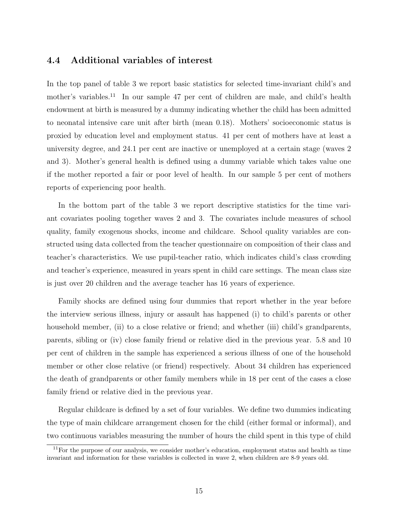### 4.4 Additional variables of interest

In the top panel of table 3 we report basic statistics for selected time-invariant child's and mother's variables.<sup>[11](#page-15-0)</sup> In our sample 47 per cent of children are male, and child's health endowment at birth is measured by a dummy indicating whether the child has been admitted to neonatal intensive care unit after birth (mean 0.18). Mothers' socioeconomic status is proxied by education level and employment status. 41 per cent of mothers have at least a university degree, and 24.1 per cent are inactive or unemployed at a certain stage (waves 2 and 3). Mother's general health is defined using a dummy variable which takes value one if the mother reported a fair or poor level of health. In our sample 5 per cent of mothers reports of experiencing poor health.

In the bottom part of the table 3 we report descriptive statistics for the time variant covariates pooling together waves 2 and 3. The covariates include measures of school quality, family exogenous shocks, income and childcare. School quality variables are constructed using data collected from the teacher questionnaire on composition of their class and teacher's characteristics. We use pupil-teacher ratio, which indicates child's class crowding and teacher's experience, measured in years spent in child care settings. The mean class size is just over 20 children and the average teacher has 16 years of experience.

Family shocks are defined using four dummies that report whether in the year before the interview serious illness, injury or assault has happened (i) to child's parents or other household member, (ii) to a close relative or friend; and whether (iii) child's grandparents, parents, sibling or (iv) close family friend or relative died in the previous year. 5.8 and 10 per cent of children in the sample has experienced a serious illness of one of the household member or other close relative (or friend) respectively. About 34 children has experienced the death of grandparents or other family members while in 18 per cent of the cases a close family friend or relative died in the previous year.

Regular childcare is defined by a set of four variables. We define two dummies indicating the type of main childcare arrangement chosen for the child (either formal or informal), and two continuous variables measuring the number of hours the child spent in this type of child

<span id="page-15-0"></span> $11$  For the purpose of our analysis, we consider mother's education, employment status and health as time invariant and information for these variables is collected in wave 2, when children are 8-9 years old.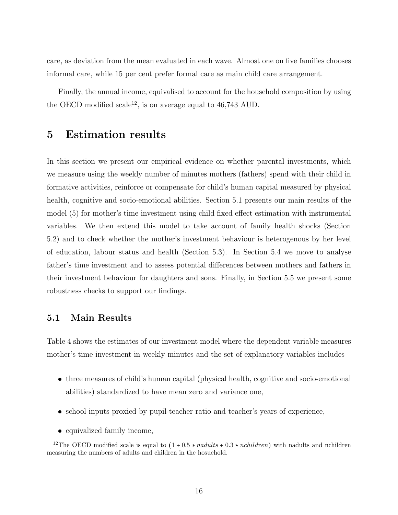care, as deviation from the mean evaluated in each wave. Almost one on five families chooses informal care, while 15 per cent prefer formal care as main child care arrangement.

Finally, the annual income, equivalised to account for the household composition by using the OECD modified scale<sup>[12](#page-16-1)</sup>, is on average equal to  $46,743$  AUD.

### <span id="page-16-0"></span>5 Estimation results

In this section we present our empirical evidence on whether parental investments, which we measure using the weekly number of minutes mothers (fathers) spend with their child in formative activities, reinforce or compensate for child's human capital measured by physical health, cognitive and socio-emotional abilities. Section [5.1](#page-16-2) presents our main results of the model [\(5\)](#page-8-1) for mother's time investment using child fixed effect estimation with instrumental variables. We then extend this model to take account of family health shocks (Section [5.2\)](#page-18-0) and to check whether the mother's investment behaviour is heterogenous by her level of education, labour status and health (Section [5.3\)](#page-18-1). In Section [5.4](#page-20-0) we move to analyse father's time investment and to assess potential differences between mothers and fathers in their investment behaviour for daughters and sons. Finally, in Section [5.5](#page-21-1) we present some robustness checks to support our findings.

### <span id="page-16-2"></span>5.1 Main Results

Table [4](#page-30-0) shows the estimates of our investment model where the dependent variable measures mother's time investment in weekly minutes and the set of explanatory variables includes

- three measures of child's human capital (physical health, cognitive and socio-emotional abilities) standardized to have mean zero and variance one,
- school inputs proxied by pupil-teacher ratio and teacher's years of experience,
- equivalized family income,

<span id="page-16-1"></span><sup>&</sup>lt;sup>12</sup>The OECD modified scale is equal to  $(1 + 0.5 *$  *nadults*  $+ 0.3 *$  *nchildren*) with nadults and nchildren measuring the numbers of adults and children in the hosuehold.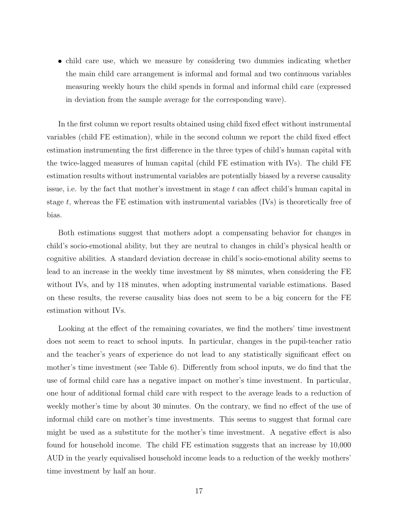• child care use, which we measure by considering two dummies indicating whether the main child care arrangement is informal and formal and two continuous variables measuring weekly hours the child spends in formal and informal child care (expressed in deviation from the sample average for the corresponding wave).

In the first column we report results obtained using child fixed effect without instrumental variables (child FE estimation), while in the second column we report the child fixed effect estimation instrumenting the first difference in the three types of child's human capital with the twice-lagged measures of human capital (child FE estimation with IVs). The child FE estimation results without instrumental variables are potentially biased by a reverse causality issue, i.e. by the fact that mother's investment in stage  $t$  can affect child's human capital in stage t, whereas the FE estimation with instrumental variables  $(IVs)$  is theoretically free of bias.

Both estimations suggest that mothers adopt a compensating behavior for changes in child's socio-emotional ability, but they are neutral to changes in child's physical health or cognitive abilities. A standard deviation decrease in child's socio-emotional ability seems to lead to an increase in the weekly time investment by 88 minutes, when considering the FE without IVs, and by 118 minutes, when adopting instrumental variable estimations. Based on these results, the reverse causality bias does not seem to be a big concern for the FE estimation without IVs.

Looking at the effect of the remaining covariates, we find the mothers' time investment does not seem to react to school inputs. In particular, changes in the pupil-teacher ratio and the teacher's years of experience do not lead to any statistically significant effect on mother's time investment (see Table [6\)](#page-32-0). Differently from school inputs, we do find that the use of formal child care has a negative impact on mother's time investment. In particular, one hour of additional formal child care with respect to the average leads to a reduction of weekly mother's time by about 30 minutes. On the contrary, we find no effect of the use of informal child care on mother's time investments. This seems to suggest that formal care might be used as a substitute for the mother's time investment. A negative effect is also found for household income. The child FE estimation suggests that an increase by 10,000 AUD in the yearly equivalised household income leads to a reduction of the weekly mothers' time investment by half an hour.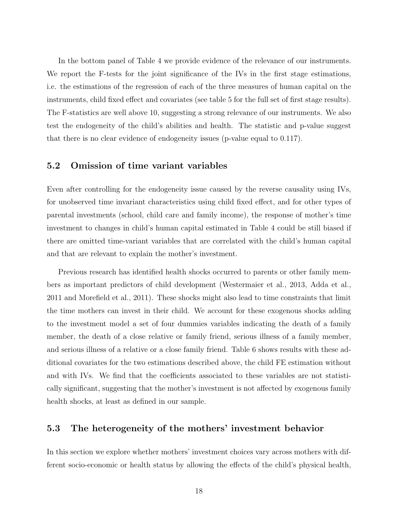In the bottom panel of Table [4](#page-30-0) we provide evidence of the relevance of our instruments. We report the F-tests for the joint significance of the IVs in the first stage estimations, i.e. the estimations of the regression of each of the three measures of human capital on the instruments, child fixed effect and covariates (see table [5](#page-31-0) for the full set of first stage results). The F-statistics are well above 10, suggesting a strong relevance of our instruments. We also test the endogeneity of the child's abilities and health. The statistic and p-value suggest that there is no clear evidence of endogeneity issues (p-value equal to 0.117).

#### <span id="page-18-0"></span>5.2 Omission of time variant variables

Even after controlling for the endogeneity issue caused by the reverse causality using IVs, for unobserved time invariant characteristics using child fixed effect, and for other types of parental investments (school, child care and family income), the response of mother's time investment to changes in child's human capital estimated in Table [4](#page-30-0) could be still biased if there are omitted time-variant variables that are correlated with the child's human capital and that are relevant to explain the mother's investment.

Previous research has identified health shocks occurred to parents or other family members as important predictors of child development (Westermaier et al., 2013, Adda et al., 2011 and Morefield et al., 2011). These shocks might also lead to time constraints that limit the time mothers can invest in their child. We account for these exogenous shocks adding to the investment model a set of four dummies variables indicating the death of a family member, the death of a close relative or family friend, serious illness of a family member, and serious illness of a relative or a close family friend. Table [6](#page-32-0) shows results with these additional covariates for the two estimations described above, the child FE estimation without and with IVs. We find that the coefficients associated to these variables are not statistically significant, suggesting that the mother's investment is not affected by exogenous family health shocks, at least as defined in our sample.

### <span id="page-18-1"></span>5.3 The heterogeneity of the mothers' investment behavior

In this section we explore whether mothers' investment choices vary across mothers with different socio-economic or health status by allowing the effects of the child's physical health,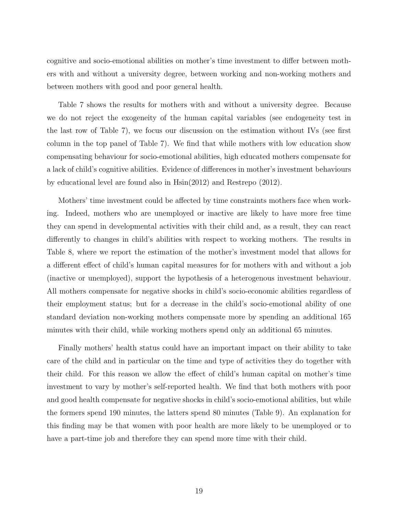cognitive and socio-emotional abilities on mother's time investment to differ between mothers with and without a university degree, between working and non-working mothers and between mothers with good and poor general health.

Table [7](#page-33-0) shows the results for mothers with and without a university degree. Because we do not reject the exogeneity of the human capital variables (see endogeneity test in the last row of Table [7\)](#page-33-0), we focus our discussion on the estimation without IVs (see first column in the top panel of Table [7\)](#page-33-0). We find that while mothers with low education show compensating behaviour for socio-emotional abilities, high educated mothers compensate for a lack of child's cognitive abilities. Evidence of differences in mother's investment behaviours by educational level are found also in Hsin(2012) and Restrepo (2012).

Mothers' time investment could be affected by time constraints mothers face when working. Indeed, mothers who are unemployed or inactive are likely to have more free time they can spend in developmental activities with their child and, as a result, they can react differently to changes in child's abilities with respect to working mothers. The results in Table [8,](#page-34-0) where we report the estimation of the mother's investment model that allows for a different effect of child's human capital measures for for mothers with and without a job (inactive or unemployed), support the hypothesis of a heterogenous investment behaviour. All mothers compensate for negative shocks in child's socio-economic abilities regardless of their employment status; but for a decrease in the child's socio-emotional ability of one standard deviation non-working mothers compensate more by spending an additional 165 minutes with their child, while working mothers spend only an additional 65 minutes.

Finally mothers' health status could have an important impact on their ability to take care of the child and in particular on the time and type of activities they do together with their child. For this reason we allow the effect of child's human capital on mother's time investment to vary by mother's self-reported health. We find that both mothers with poor and good health compensate for negative shocks in child's socio-emotional abilities, but while the formers spend 190 minutes, the latters spend 80 minutes (Table [9\)](#page-35-0). An explanation for this finding may be that women with poor health are more likely to be unemployed or to have a part-time job and therefore they can spend more time with their child.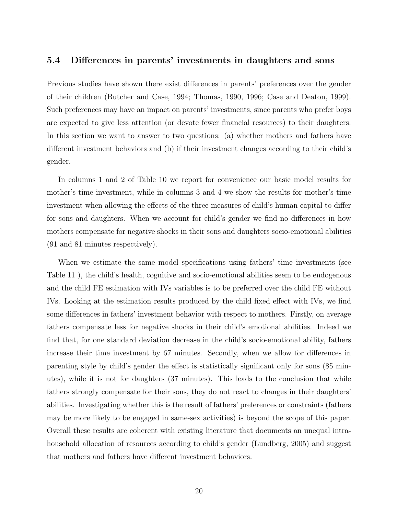### <span id="page-20-0"></span>5.4 Differences in parents' investments in daughters and sons

Previous studies have shown there exist differences in parents' preferences over the gender of their children (Butcher and Case, 1994; Thomas, 1990, 1996; Case and Deaton, 1999). Such preferences may have an impact on parents' investments, since parents who prefer boys are expected to give less attention (or devote fewer financial resources) to their daughters. In this section we want to answer to two questions: (a) whether mothers and fathers have different investment behaviors and (b) if their investment changes according to their child's gender.

In columns 1 and 2 of Table [10](#page-36-0) we report for convenience our basic model results for mother's time investment, while in columns 3 and 4 we show the results for mother's time investment when allowing the effects of the three measures of child's human capital to differ for sons and daughters. When we account for child's gender we find no differences in how mothers compensate for negative shocks in their sons and daughters socio-emotional abilities (91 and 81 minutes respectively).

When we estimate the same model specifications using fathers' time investments (see Table [11](#page-37-0) ), the child's health, cognitive and socio-emotional abilities seem to be endogenous and the child FE estimation with IVs variables is to be preferred over the child FE without IVs. Looking at the estimation results produced by the child fixed effect with IVs, we find some differences in fathers' investment behavior with respect to mothers. Firstly, on average fathers compensate less for negative shocks in their child's emotional abilities. Indeed we find that, for one standard deviation decrease in the child's socio-emotional ability, fathers increase their time investment by 67 minutes. Secondly, when we allow for differences in parenting style by child's gender the effect is statistically significant only for sons (85 minutes), while it is not for daughters (37 minutes). This leads to the conclusion that while fathers strongly compensate for their sons, they do not react to changes in their daughters' abilities. Investigating whether this is the result of fathers' preferences or constraints (fathers may be more likely to be engaged in same-sex activities) is beyond the scope of this paper. Overall these results are coherent with existing literature that documents an unequal intrahousehold allocation of resources according to child's gender (Lundberg, 2005) and suggest that mothers and fathers have different investment behaviors.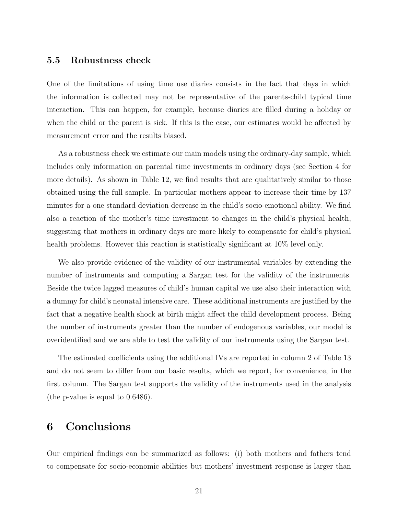#### <span id="page-21-1"></span>5.5 Robustness check

One of the limitations of using time use diaries consists in the fact that days in which the information is collected may not be representative of the parents-child typical time interaction. This can happen, for example, because diaries are filled during a holiday or when the child or the parent is sick. If this is the case, our estimates would be affected by measurement error and the results biased.

As a robustness check we estimate our main models using the ordinary-day sample, which includes only information on parental time investments in ordinary days (see Section [4](#page-10-0) for more details). As shown in Table [12,](#page-38-0) we find results that are qualitatively similar to those obtained using the full sample. In particular mothers appear to increase their time by 137 minutes for a one standard deviation decrease in the child's socio-emotional ability. We find also a reaction of the mother's time investment to changes in the child's physical health, suggesting that mothers in ordinary days are more likely to compensate for child's physical health problems. However this reaction is statistically significant at  $10\%$  level only.

We also provide evidence of the validity of our instrumental variables by extending the number of instruments and computing a Sargan test for the validity of the instruments. Beside the twice lagged measures of child's human capital we use also their interaction with a dummy for child's neonatal intensive care. These additional instruments are justified by the fact that a negative health shock at birth might affect the child development process. Being the number of instruments greater than the number of endogenous variables, our model is overidentified and we are able to test the validity of our instruments using the Sargan test.

The estimated coefficients using the additional IVs are reported in column 2 of Table [13](#page-39-0) and do not seem to differ from our basic results, which we report, for convenience, in the first column. The Sargan test supports the validity of the instruments used in the analysis (the p-value is equal to 0.6486).

### <span id="page-21-0"></span>6 Conclusions

Our empirical findings can be summarized as follows: (i) both mothers and fathers tend to compensate for socio-economic abilities but mothers' investment response is larger than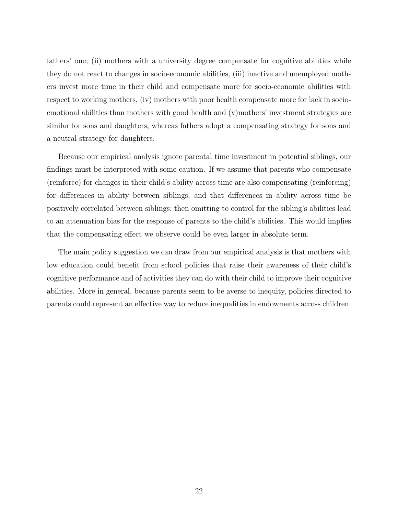fathers' one; (ii) mothers with a university degree compensate for cognitive abilities while they do not react to changes in socio-economic abilities, (iii) inactive and unemployed mothers invest more time in their child and compensate more for socio-economic abilities with respect to working mothers, (iv) mothers with poor health compensate more for lack in socioemotional abilities than mothers with good health and (v)mothers' investment strategies are similar for sons and daughters, whereas fathers adopt a compensating strategy for sons and a neutral strategy for daughters.

Because our empirical analysis ignore parental time investment in potential siblings, our findings must be interpreted with some caution. If we assume that parents who compensate (reinforce) for changes in their child's ability across time are also compensating (reinforcing) for differences in ability between siblings, and that differences in ability across time be positively correlated between siblings; then omitting to control for the sibling's abilities lead to an attenuation bias for the response of parents to the child's abilities. This would implies that the compensating effect we observe could be even larger in absolute term.

The main policy suggestion we can draw from our empirical analysis is that mothers with low education could benefit from school policies that raise their awareness of their child's cognitive performance and of activities they can do with their child to improve their cognitive abilities. More in general, because parents seem to be averse to inequity, policies directed to parents could represent an effective way to reduce inequalities in endowments across children.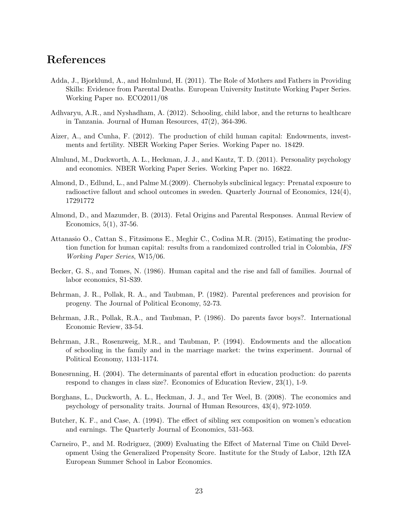## References

- Adda, J., Bjorklund, A., and Holmlund, H. (2011). The Role of Mothers and Fathers in Providing Skills: Evidence from Parental Deaths. European University Institute Working Paper Series. Working Paper no. ECO2011/08
- Adhvaryu, A.R., and Nyshadham, A. (2012). Schooling, child labor, and the returns to healthcare in Tanzania. Journal of Human Resources, 47(2), 364-396.
- Aizer, A., and Cunha, F. (2012). The production of child human capital: Endowments, investments and fertility. NBER Working Paper Series. Working Paper no. 18429.
- Almlund, M., Duckworth, A. L., Heckman, J. J., and Kautz, T. D. (2011). Personality psychology and economics. NBER Working Paper Series. Working Paper no. 16822.
- Almond, D., Edlund, L., and Palme M.(2009). Chernobyls subclinical legacy: Prenatal exposure to radioactive fallout and school outcomes in sweden. Quarterly Journal of Economics, 124(4), 17291772
- Almond, D., and Mazumder, B. (2013). Fetal Origins and Parental Responses. Annual Review of Economics, 5(1), 37-56.
- Attanasio O., Cattan S., Fitzsimons E., Meghir C., Codina M.R. (2015), Estimating the production function for human capital: results from a randomized controlled trial in Colombia, IFS Working Paper Series, W15/06.
- Becker, G. S., and Tomes, N. (1986). Human capital and the rise and fall of families. Journal of labor economics, S1-S39.
- Behrman, J. R., Pollak, R. A., and Taubman, P. (1982). Parental preferences and provision for progeny. The Journal of Political Economy, 52-73.
- Behrman, J.R., Pollak, R.A., and Taubman, P. (1986). Do parents favor boys?. International Economic Review, 33-54.
- Behrman, J.R., Rosenzweig, M.R., and Taubman, P. (1994). Endowments and the allocation of schooling in the family and in the marriage market: the twins experiment. Journal of Political Economy, 1131-1174.
- Bonesrnning, H. (2004). The determinants of parental effort in education production: do parents respond to changes in class size?. Economics of Education Review, 23(1), 1-9.
- Borghans, L., Duckworth, A. L., Heckman, J. J., and Ter Weel, B. (2008). The economics and psychology of personality traits. Journal of Human Resources, 43(4), 972-1059.
- Butcher, K. F., and Case, A. (1994). The effect of sibling sex composition on women's education and earnings. The Quarterly Journal of Economics, 531-563.
- Carneiro, P., and M. Rodriguez, (2009) Evaluating the Effect of Maternal Time on Child Development Using the Generalized Propensity Score. Institute for the Study of Labor, 12th IZA European Summer School in Labor Economics.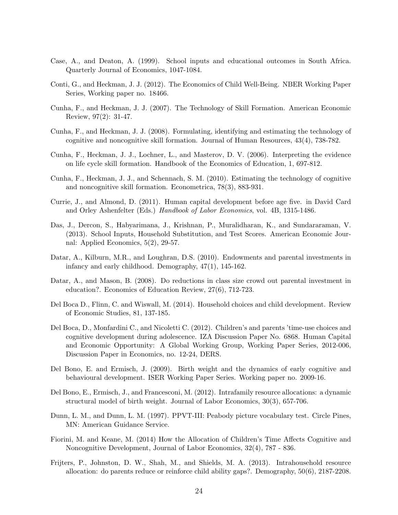- Case, A., and Deaton, A. (1999). School inputs and educational outcomes in South Africa. Quarterly Journal of Economics, 1047-1084.
- Conti, G., and Heckman, J. J. (2012). The Economics of Child Well-Being. NBER Working Paper Series, Working paper no. 18466.
- Cunha, F., and Heckman, J. J. (2007). The Technology of Skill Formation. American Economic Review, 97(2): 31-47.
- Cunha, F., and Heckman, J. J. (2008). Formulating, identifying and estimating the technology of cognitive and noncognitive skill formation. Journal of Human Resources, 43(4), 738-782.
- Cunha, F., Heckman, J. J., Lochner, L., and Masterov, D. V. (2006). Interpreting the evidence on life cycle skill formation. Handbook of the Economics of Education, 1, 697-812.
- Cunha, F., Heckman, J. J., and Schennach, S. M. (2010). Estimating the technology of cognitive and noncognitive skill formation. Econometrica, 78(3), 883-931.
- Currie, J., and Almond, D. (2011). Human capital development before age five. in David Card and Orley Ashenfelter (Eds.) Handbook of Labor Economics, vol. 4B, 1315-1486.
- Das, J., Dercon, S., Habyarimana, J., Krishnan, P., Muralidharan, K., and Sundararaman, V. (2013). School Inputs, Household Substitution, and Test Scores. American Economic Journal: Applied Economics, 5(2), 29-57.
- Datar, A., Kilburn, M.R., and Loughran, D.S. (2010). Endowments and parental investments in infancy and early childhood. Demography, 47(1), 145-162.
- Datar, A., and Mason, B. (2008). Do reductions in class size crowd out parental investment in education?. Economics of Education Review, 27(6), 712-723.
- Del Boca D., Flinn, C. and Wiswall, M. (2014). Household choices and child development. Review of Economic Studies, 81, 137-185.
- Del Boca, D., Monfardini C., and Nicoletti C. (2012). Children's and parents 'time-use choices and cognitive development during adolescence. IZA Discussion Paper No. 6868. Human Capital and Economic Opportunity: A Global Working Group, Working Paper Series, 2012-006, Discussion Paper in Economics, no. 12-24, DERS.
- Del Bono, E. and Ermisch, J. (2009). Birth weight and the dynamics of early cognitive and behavioural development. ISER Working Paper Series. Working paper no. 2009-16.
- Del Bono, E., Ermisch, J., and Francesconi, M. (2012). Intrafamily resource allocations: a dynamic structural model of birth weight. Journal of Labor Economics, 30(3), 657-706.
- Dunn, L. M., and Dunn, L. M. (1997). PPVT-III: Peabody picture vocabulary test. Circle Pines, MN: American Guidance Service.
- Fiorini, M. and Keane, M. (2014) How the Allocation of Children's Time Affects Cognitive and Noncognitive Development, Journal of Labor Economics, 32(4), 787 - 836.
- Frijters, P., Johnston, D. W., Shah, M., and Shields, M. A. (2013). Intrahousehold resource allocation: do parents reduce or reinforce child ability gaps?. Demography, 50(6), 2187-2208.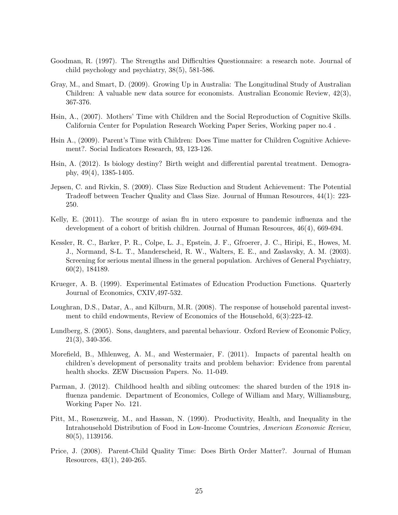- Goodman, R. (1997). The Strengths and Difficulties Questionnaire: a research note. Journal of child psychology and psychiatry, 38(5), 581-586.
- Gray, M., and Smart, D. (2009). Growing Up in Australia: The Longitudinal Study of Australian Children: A valuable new data source for economists. Australian Economic Review, 42(3), 367-376.
- Hsin, A., (2007). Mothers' Time with Children and the Social Reproduction of Cognitive Skills. California Center for Population Research Working Paper Series, Working paper no.4 .
- Hsin A., (2009). Parent's Time with Children: Does Time matter for Children Cognitive Achievement?. Social Indicators Research, 93, 123-126.
- Hsin, A. (2012). Is biology destiny? Birth weight and differential parental treatment. Demography, 49(4), 1385-1405.
- Jepsen, C. and Rivkin, S. (2009). Class Size Reduction and Student Achievement: The Potential Tradeoff between Teacher Quality and Class Size. Journal of Human Resources, 44(1): 223- 250.
- Kelly, E. (2011). The scourge of asian flu in utero exposure to pandemic influenza and the development of a cohort of british children. Journal of Human Resources, 46(4), 669-694.
- Kessler, R. C., Barker, P. R., Colpe, L. J., Epstein, J. F., Gfroerer, J. C., Hiripi, E., Howes, M. J., Normand, S-L. T., Manderscheid, R. W., Walters, E. E., and Zaslavsky, A. M. (2003). Screening for serious mental illness in the general population. Archives of General Psychiatry, 60(2), 184189.
- Krueger, A. B. (1999). Experimental Estimates of Education Production Functions. Quarterly Journal of Economics, CXIV,497-532.
- Loughran, D.S., Datar, A., and Kilburn, M.R. (2008). The response of household parental investment to child endowments, Review of Economics of the Household, 6(3):223-42.
- Lundberg, S. (2005). Sons, daughters, and parental behaviour. Oxford Review of Economic Policy, 21(3), 340-356.
- Morefield, B., Mhlenweg, A. M., and Westermaier, F. (2011). Impacts of parental health on children's development of personality traits and problem behavior: Evidence from parental health shocks. ZEW Discussion Papers. No. 11-049.
- Parman, J. (2012). Childhood health and sibling outcomes: the shared burden of the 1918 influenza pandemic. Department of Economics, College of William and Mary, Williamsburg, Working Paper No. 121.
- Pitt, M., Rosenzweig, M., and Hassan, N. (1990). Productivity, Health, and Inequality in the Intrahousehold Distribution of Food in Low-Income Countries, American Economic Review, 80(5), 1139156.
- Price, J. (2008). Parent-Child Quality Time: Does Birth Order Matter?. Journal of Human Resources, 43(1), 240-265.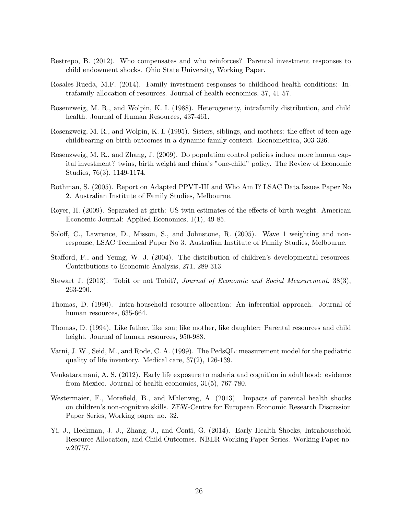- Restrepo, B. (2012). Who compensates and who reinforces? Parental investment responses to child endowment shocks. Ohio State University, Working Paper.
- Rosales-Rueda, M.F. (2014). Family investment responses to childhood health conditions: Intrafamily allocation of resources. Journal of health economics, 37, 41-57.
- Rosenzweig, M. R., and Wolpin, K. I. (1988). Heterogeneity, intrafamily distribution, and child health. Journal of Human Resources, 437-461.
- Rosenzweig, M. R., and Wolpin, K. I. (1995). Sisters, siblings, and mothers: the effect of teen-age childbearing on birth outcomes in a dynamic family context. Econometrica, 303-326.
- Rosenzweig, M. R., and Zhang, J. (2009). Do population control policies induce more human capital investment? twins, birth weight and china's "one-child" policy. The Review of Economic Studies, 76(3), 1149-1174.
- Rothman, S. (2005). Report on Adapted PPVT-III and Who Am I? LSAC Data Issues Paper No 2. Australian Institute of Family Studies, Melbourne.
- Royer, H. (2009). Separated at girth: US twin estimates of the effects of birth weight. American Economic Journal: Applied Economics, 1(1), 49-85.
- Soloff, C., Lawrence, D., Misson, S., and Johnstone, R. (2005). Wave 1 weighting and nonresponse, LSAC Technical Paper No 3. Australian Institute of Family Studies, Melbourne.
- Stafford, F., and Yeung, W. J. (2004). The distribution of children's developmental resources. Contributions to Economic Analysis, 271, 289-313.
- Stewart J. (2013). Tobit or not Tobit?, Journal of Economic and Social Measurement, 38(3), 263-290.
- Thomas, D. (1990). Intra-household resource allocation: An inferential approach. Journal of human resources, 635-664.
- Thomas, D. (1994). Like father, like son; like mother, like daughter: Parental resources and child height. Journal of human resources, 950-988.
- Varni, J. W., Seid, M., and Rode, C. A. (1999). The PedsQL: measurement model for the pediatric quality of life inventory. Medical care, 37(2), 126-139.
- Venkataramani, A. S. (2012). Early life exposure to malaria and cognition in adulthood: evidence from Mexico. Journal of health economics, 31(5), 767-780.
- Westermaier, F., Morefield, B., and Mhlenweg, A. (2013). Impacts of parental health shocks on children's non-cognitive skills. ZEW-Centre for European Economic Research Discussion Paper Series, Working paper no. 32.
- Yi, J., Heckman, J. J., Zhang, J., and Conti, G. (2014). Early Health Shocks, Intrahousehold Resource Allocation, and Child Outcomes. NBER Working Paper Series. Working Paper no. w20757.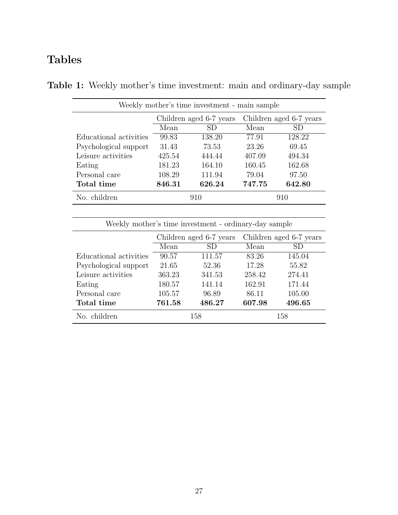# Tables

| Weekly mother's time investment - main sample |                                                    |        |        |        |  |
|-----------------------------------------------|----------------------------------------------------|--------|--------|--------|--|
|                                               | Children aged 6-7 years<br>Children aged 6-7 years |        |        |        |  |
|                                               | Mean                                               | SD     | Mean   | SD     |  |
| Educational activities                        | 99.83                                              | 138.20 | 77.91  | 128.22 |  |
| Psychological support                         | 31.43                                              | 73.53  | 23.26  | 69.45  |  |
| Leisure activities                            | 425.54                                             | 444.44 | 407.09 | 494.34 |  |
| Eating                                        | 181.23                                             | 164.10 | 160.45 | 162.68 |  |
| Personal care                                 | 108.29                                             | 111.94 | 79.04  | 97.50  |  |
| Total time                                    | 846.31                                             | 626.24 | 747.75 | 642.80 |  |
| No. children                                  |                                                    | 910    |        | 910    |  |

Table 1: Weekly mother's time investment: main and ordinary-day sample

| Weekly mother's time investment - ordinary-day sample |        |                         |                         |        |  |
|-------------------------------------------------------|--------|-------------------------|-------------------------|--------|--|
|                                                       |        | Children aged 6-7 years | Children aged 6-7 years |        |  |
|                                                       | Mean   | SD.                     | Mean                    | SD     |  |
| Educational activities                                | 90.57  | 111.57                  | 83.26                   | 145.04 |  |
| Psychological support                                 | 21.65  | 52.36                   | 17.28                   | 55.82  |  |
| Leisure activities                                    | 363.23 | 341.53                  | 258.42                  | 274.41 |  |
| Eating                                                | 180.57 | 141.14                  | 162.91                  | 171.44 |  |
| Personal care                                         | 105.57 | 96.89                   | 86.11                   | 105.00 |  |
| Total time                                            | 761.58 | 486.27                  | 607.98                  | 496.65 |  |
| No. children                                          |        | 158                     |                         | 158    |  |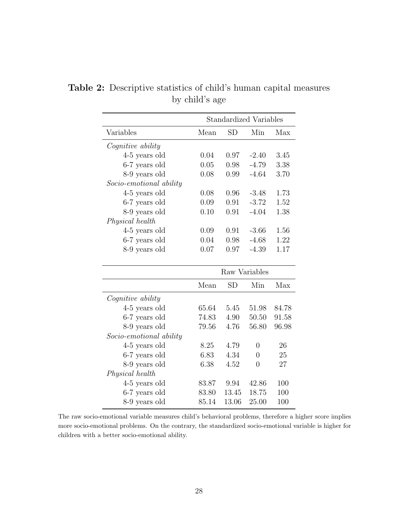|                          | <b>Standardized Variables</b> |           |                |       |
|--------------------------|-------------------------------|-----------|----------------|-------|
| Variables                | Mean                          | <b>SD</b> | Min            | Max   |
| <i>Cognitive ability</i> |                               |           |                |       |
| 4-5 years old            | 0.04                          | 0.97      | $-2.40$        | 3.45  |
| 6-7 years old            | 0.05                          | 0.98      | $-4.79$        | 3.38  |
| 8-9 years old            | 0.08                          | 0.99      | $-4.64$        | 3.70  |
| Socio-emotional ability  |                               |           |                |       |
| 4-5 years old            | 0.08                          | 0.96      | $-3.48$        | 1.73  |
| 6-7 years old            | 0.09                          | 0.91      | $-3.72$        | 1.52  |
| 8-9 years old            | 0.10                          | 0.91      | $-4.04$        | 1.38  |
| Physical health          |                               |           |                |       |
| $4-5$ years old          | 0.09                          | 0.91      | $-3.66$        | 1.56  |
| 6-7 years old            | 0.04                          | 0.98      | $-4.68$        | 1.22  |
| 8-9 years old            | 0.07                          | 0.97      | $-4.39$        | 1.17  |
|                          |                               |           | Raw Variables  |       |
|                          | Mean                          | <b>SD</b> | Min            | Max   |
| Cognitive ability        |                               |           |                |       |
| $4-5$ years old          | 65.64                         | 5.45      | 51.98          | 84.78 |
| 6-7 years old            | 74.83                         | 4.90      | 50.50          | 91.58 |
| 8-9 years old            | 79.56                         | 4.76      | 56.80          | 96.98 |
| Socio-emotional ability  |                               |           |                |       |
| 4-5 years old            | 8.25                          | 4.79      | $\overline{0}$ | 26    |
| 6-7 years old            | 6.83                          | 4.34      | $\overline{0}$ | 25    |
| 8-9 years old            | 6.38                          | 4.52      | $\overline{0}$ | 27    |
| Physical health          |                               |           |                |       |
| 4-5 years old            | 83.87                         | 9.94      | 42.86          | 100   |
| 6-7 years old            | 83.80                         | 13.45     | 18.75          | 100   |
| 8-9 years old            | 85.14                         | 13.06     | 25.00          | 100   |

Table 2: Descriptive statistics of child's human capital measures by child's age

The raw socio-emotional variable measures child's behavioral problems, therefore a higher score implies more socio-emotional problems. On the contrary, the standardized socio-emotional variable is higher for children with a better socio-emotional ability.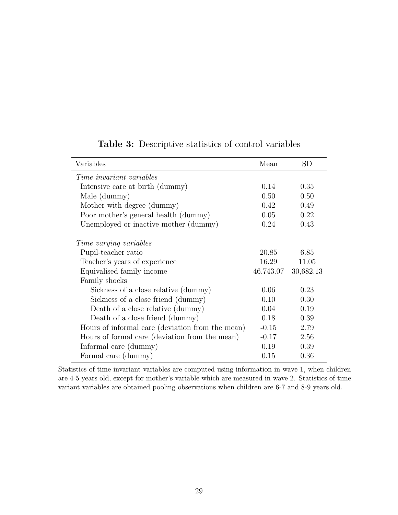| Variables                                        | Mean      | SD        |
|--------------------------------------------------|-----------|-----------|
| <i>Time invariant variables</i>                  |           |           |
| Intensive care at birth (dummy)                  | 0.14      | 0.35      |
| Male (dummy)                                     | 0.50      | 0.50      |
| Mother with degree (dummy)                       | 0.42      | 0.49      |
| Poor mother's general health (dummy)             | 0.05      | 0.22      |
| Unemployed or inactive mother (dummy)            | 0.24      | 0.43      |
| <i>Time varying variables</i>                    |           |           |
| Pupil-teacher ratio                              | 20.85     | 6.85      |
| Teacher's years of experience                    | 16.29     | 11.05     |
| Equivalised family income                        | 46,743.07 | 30,682.13 |
| Family shocks                                    |           |           |
| Sickness of a close relative (dummy)             | 0.06      | 0.23      |
| Sickness of a close friend (dummy)               | 0.10      | 0.30      |
| Death of a close relative (dummy)                | 0.04      | 0.19      |
| Death of a close friend (dummy)                  | 0.18      | 0.39      |
| Hours of informal care (deviation from the mean) | $-0.15$   | 2.79      |
| Hours of formal care (deviation from the mean)   | $-0.17$   | 2.56      |
| Informal care (dummy)                            | 0.19      | 0.39      |
| Formal care (dummy)                              | 0.15      | 0.36      |

### Table 3: Descriptive statistics of control variables

Statistics of time invariant variables are computed using information in wave 1, when children are 4-5 years old, except for mother's variable which are measured in wave 2. Statistics of time variant variables are obtained pooling observations when children are 6-7 and 8-9 years old.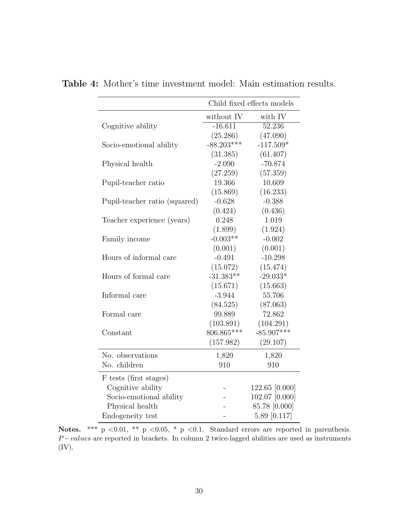|                               | Child fixed effects models |                     |  |
|-------------------------------|----------------------------|---------------------|--|
|                               | without IV                 | with IV             |  |
| Cognitive ability             | $-16.611$                  | $\overline{52.236}$ |  |
|                               | (25.286)                   | (47.090)            |  |
| Socio-emotional ability       | $-88.203***$               | $-117.509*$         |  |
|                               | (31.385)                   | (61.407)            |  |
| Physical health               | $-2.090$                   | $-70.874$           |  |
|                               | (27.259)                   | (57.359)            |  |
| Pupil-teacher ratio           | 19.366                     | 10.609              |  |
|                               | (15.869)                   | (16.233)            |  |
| Pupil-teacher ratio (squared) | $-0.628$                   | $-0.388$            |  |
|                               | (0.424)                    | (0.436)             |  |
| Teacher experience (years)    | 0.248                      | 1.019               |  |
|                               | (1.899)                    | (1.924)             |  |
| Family income                 | $-0.003**$                 | $-0.002$            |  |
|                               | (0.001)                    | (0.001)             |  |
| Hours of informal care        | $-0.491$                   | $-10.298$           |  |
|                               | (15.072)                   | (15.474)            |  |
| Hours of formal care          | $-31.383**$                | $-29.033*$          |  |
|                               | (15.671)                   | (15.663)            |  |
| Informal care                 | $-3.944$                   | 55.706              |  |
|                               | (84.525)                   | (87.063)            |  |
| Formal care                   | 99.889                     | 72.862              |  |
|                               | (103.891)                  | (104.291)           |  |
| Constant                      | 806.865***                 | $-85.907***$        |  |
|                               | (157.982)                  | (29.107)            |  |
| No. observations              | 1,820                      | 1,820               |  |
| No. children                  | 910                        | 910                 |  |
| F tests (first stages)        |                            |                     |  |
| Cognitive ability             |                            | 122.65 [0.000]      |  |
| Socio-emotional ability       |                            | 102.07 [0.000]      |  |
| Physical health               |                            | 85.78 [0.000]       |  |
| Endogeneity test              |                            | 5.89 [0.117]        |  |

<span id="page-30-0"></span>Table 4: Mother's time investment model: Main estimation results.

Notes. \*\*\* p <0.01, \*\* p <0.05, \* p <0.1. Standard errors are reported in parenthesis. Physical health Franchick Chapter and the set of the set of the set of the set of the set of the set of the set of the set of the set of the set of the set of the set of the set of the set of the set of the set of the set (IV).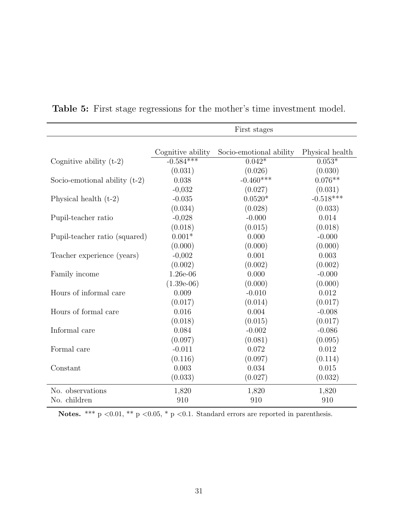|                                 |                                  | First stages                        |                             |
|---------------------------------|----------------------------------|-------------------------------------|-----------------------------|
|                                 |                                  |                                     |                             |
|                                 | Cognitive ability<br>$-0.584***$ | Socio-emotional ability<br>$0.042*$ | Physical health<br>$0.053*$ |
| Cognitive ability $(t-2)$       |                                  |                                     |                             |
|                                 | (0.031)                          | (0.026)                             | (0.030)                     |
| Socio-emotional ability $(t-2)$ | 0.038                            | $-0.460***$                         | $0.076**$                   |
|                                 | $-0,032$                         | (0.027)                             | (0.031)                     |
| Physical health $(t-2)$         | $-0.035$                         | $0.0520*$                           | $-0.518***$                 |
|                                 | (0.034)                          | (0.028)                             | (0.033)                     |
| Pupil-teacher ratio             | $-0,028$                         | $-0.000$                            | 0.014                       |
|                                 | (0.018)                          | (0.015)                             | (0.018)                     |
| Pupil-teacher ratio (squared)   | $0.001*$                         | 0.000                               | $-0.000$                    |
|                                 | (0.000)                          | (0.000)                             | (0.000)                     |
| Teacher experience (years)      | $-0,002$                         | 0.001                               | 0.003                       |
|                                 | (0.002)                          | (0.002)                             | (0.002)                     |
| Family income                   | 1.26e-06                         | 0.000                               | $-0.000$                    |
|                                 | $(1.39e-06)$                     | (0.000)                             | (0.000)                     |
| Hours of informal care          | 0.009                            | $-0.010$                            | 0.012                       |
|                                 | (0.017)                          | (0.014)                             | (0.017)                     |
| Hours of formal care            | 0.016                            | 0.004                               | $-0.008$                    |
|                                 | (0.018)                          | (0.015)                             | (0.017)                     |
| Informal care                   | 0.084                            | $-0.002$                            | $-0.086$                    |
|                                 | (0.097)                          | (0.081)                             | (0.095)                     |
| Formal care                     | $-0.011$                         | 0.072                               | 0.012                       |
|                                 | (0.116)                          | (0.097)                             | (0.114)                     |
| Constant                        | 0.003                            | 0.034                               | 0.015                       |
|                                 | (0.033)                          | (0.027)                             | (0.032)                     |
| No. observations                | 1,820                            | 1,820                               | 1,820                       |
| No. children                    | 910                              | 910                                 | 910                         |

<span id="page-31-0"></span>Table 5: First stage regressions for the mother's time investment model.

Notes. \*\*\*  $p \le 0.01$ , \*\*  $p \le 0.05$ , \*  $p \le 0.1$ . Standard errors are reported in parenthesis.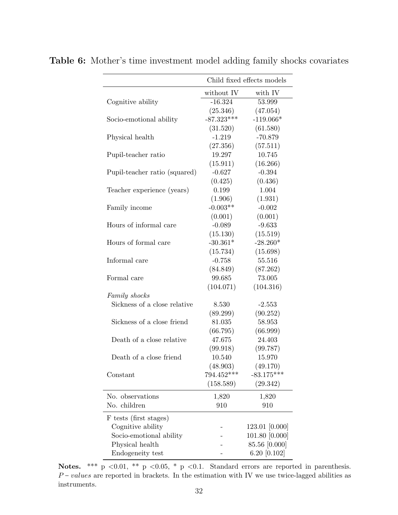|                               | Child fixed effects models |                |  |
|-------------------------------|----------------------------|----------------|--|
|                               | without IV                 | with IV        |  |
| Cognitive ability             | $-16.324$                  | 53.999         |  |
|                               | (25.346)                   | (47.054)       |  |
| Socio-emotional ability       | $-87.323***$               | $-119.066*$    |  |
|                               | (31.520)                   | (61.580)       |  |
| Physical health               | $-1.219$                   | $-70.879$      |  |
|                               | (27.356)                   | (57.511)       |  |
| Pupil-teacher ratio           | 19.297                     | 10.745         |  |
|                               | (15.911)                   | (16.266)       |  |
| Pupil-teacher ratio (squared) | $-0.627$                   | $-0.394$       |  |
|                               | (0.425)                    | (0.436)        |  |
| Teacher experience (years)    | 0.199                      | 1.004          |  |
|                               | (1.906)                    | (1.931)        |  |
| Family income                 | $-0.003**$                 | $-0.002$       |  |
|                               | (0.001)                    | (0.001)        |  |
| Hours of informal care        | $-0.089$                   | $-9.633$       |  |
|                               | (15.130)                   | (15.519)       |  |
| Hours of formal care          | $-30.361*$                 | $-28.260*$     |  |
|                               | (15.734)                   | (15.698)       |  |
| Informal care                 | $-0.758$                   | 55.516         |  |
|                               | (84.849)                   | (87.262)       |  |
| Formal care                   | 99.685                     | 73.005         |  |
|                               | (104.071)                  | (104.316)      |  |
| Family shocks                 |                            |                |  |
| Sickness of a close relative  | 8.530                      | $-2.553$       |  |
|                               | (89.299)                   | (90.252)       |  |
| Sickness of a close friend    | 81.035                     | 58.953         |  |
|                               | (66.795)                   | (66.999)       |  |
| Death of a close relative     | 47.675                     | 24.403         |  |
|                               | (99.918)                   | (99.787)       |  |
| Death of a close friend       | 10.540                     | 15.970         |  |
|                               | (48.903)                   | (49.170)       |  |
| Constant                      | $794.452***$               | $-83.175***$   |  |
|                               | (158.589)                  | (29.342)       |  |
| No. observations              | 1,820                      | 1,820          |  |
| No. children                  | 910                        | 910            |  |
| F tests (first stages)        |                            |                |  |
| Cognitive ability             |                            | 123.01 [0.000] |  |
| Socio-emotional ability       |                            | 101.80 [0.000] |  |
| Physical health               |                            | 85.56 [0.000]  |  |
| Endogeneity test              |                            | 6.20 $[0.102]$ |  |

<span id="page-32-0"></span>Table 6: Mother's time investment model adding family shocks covariates

Notes. \*\*\* p <0.01, \*\* p <0.05, \* p <0.1. Standard errors are reported in parenthesis. Physical health - 85.56 [0.000]<br>
Endogeneity test - 6.20 [0.102]<br>
Notes. \*\*\*  $p \le 0.01$ , \*\*  $p < 0.05$ , \*  $p < 0.1$ . Standard errors are reported in parenthesis.<br>  $P-valuees$  are reported in brackets. In the estimation with IV we instruments.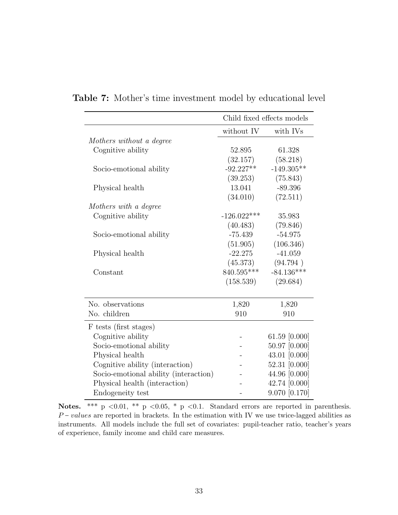|                                       |               | Child fixed effects models |
|---------------------------------------|---------------|----------------------------|
|                                       | without IV    | with IVs                   |
| Mothers without a degree              |               |                            |
| Cognitive ability                     | 52.895        | 61.328                     |
|                                       | (32.157)      | (58.218)                   |
| Socio-emotional ability               | $-92.227**$   | $-149.305**$               |
|                                       | (39.253)      | (75.843)                   |
| Physical health                       | 13.041        | $-89.396$                  |
|                                       | (34.010)      | (72.511)                   |
| Mothers with a degree                 |               |                            |
| Cognitive ability                     | $-126.022***$ | 35.983                     |
|                                       | (40.483)      | (79.846)                   |
| Socio-emotional ability               | $-75.439$     | $-54.975$                  |
|                                       | (51.905)      | (106.346)                  |
| Physical health                       | $-22.275$     | $-41.059$                  |
|                                       | (45.373)      | (94.794)                   |
| Constant                              | 840.595***    | $-84.136***$               |
|                                       | (158.539)     | (29.684)                   |
|                                       |               |                            |
| No. observations                      | 1,820         | 1,820                      |
| No. children                          | 910           | 910                        |
| F tests (first stages)                |               |                            |
| Cognitive ability                     |               | 61.59 [0.000]              |
| Socio-emotional ability               |               | 50.97 [0.000]              |
| Physical health                       |               | 43.01 [0.000]              |
| Cognitive ability (interaction)       |               | 52.31 [0.000]              |
| Socio-emotional ability (interaction) |               | 44.96 [0.000]              |
| Physical health (interaction)         |               | 42.74 [0.000]              |
| Endogeneity test                      |               | 9.070 [0.170]              |

<span id="page-33-0"></span>Table 7: Mother's time investment model by educational level

Notes. \*\*\* p <0.01, \*\* p <0.05, \* p <0.1. Standard errors are reported in parenthesis. Physical health (interaction)  $-$  42.74 [0.000]<br>Endogeneity test  $-$  9.070 [0.170]<br>Notes. \*\*\* p <0.01, \*\* p <0.05, \* p <0.1. Standard errors are reported in parenthesis.<br> $P$ -values are reported in brackets. In the estimat instruments. All models include the full set of covariates: pupil-teacher ratio, teacher's years of experience, family income and child care measures.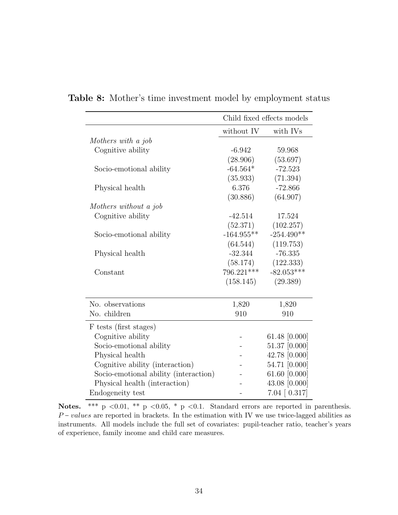|                                       | Child fixed effects models |                       |  |
|---------------------------------------|----------------------------|-----------------------|--|
|                                       | without IV                 | with IVs              |  |
| Mothers with a job                    |                            |                       |  |
| Cognitive ability                     | $-6.942$                   | 59.968                |  |
|                                       | (28.906)                   | (53.697)              |  |
| Socio-emotional ability               | $-64.564*$                 | $-72.523$             |  |
|                                       | (35.933)                   | (71.394)              |  |
| Physical health                       | 6.376                      | $-72.866$             |  |
|                                       | (30.886)                   | (64.907)              |  |
| Mothers without a job                 |                            |                       |  |
| Cognitive ability                     | $-42.514$                  | 17.524                |  |
|                                       | (52.371)                   | (102.257)             |  |
| Socio-emotional ability               | $-164.955**$               | $-254.490**$          |  |
|                                       | (64.544)                   | (119.753)             |  |
| Physical health                       | $-32.344$                  | $-76.335$             |  |
|                                       | (58.174)                   | (122.333)             |  |
| Constant                              | 796.221***                 | $-82.053***$          |  |
|                                       | (158.145)                  | (29.389)              |  |
| No. observations                      | 1,820                      | 1,820                 |  |
| No. children                          | 910                        | 910                   |  |
| F tests (first stages)                |                            |                       |  |
| Cognitive ability                     |                            | 61.48 $[0.000]$       |  |
| Socio-emotional ability               |                            | 51.37 [0.000]         |  |
| Physical health                       |                            | 42.78 [0.000]         |  |
| Cognitive ability (interaction)       |                            | 54.71 [0.000]         |  |
| Socio-emotional ability (interaction) |                            | 61.60 [0.000]         |  |
| Physical health (interaction)         |                            | 43.08 [0.000]         |  |
| Endogeneity test                      |                            | $7.04 \; [ \; 0.317]$ |  |

<span id="page-34-0"></span>Table 8: Mother's time investment model by employment status

Notes. \*\*\* p <0.01, \*\* p <0.05, \* p <0.1. Standard errors are reported in parenthesis. Physical health (interaction)  $\frac{20000}{20000}$ <br>
Endogeneity test  $\frac{10000}{20000}$ <br>
Notes.  $\frac{10000}{20000}$ <br>  $P-valuees$  are reported in brackets. In the estimation with IV we use twice-lagged abilities as instruments. All models include the full set of covariates: pupil-teacher ratio, teacher's years of experience, family income and child care measures.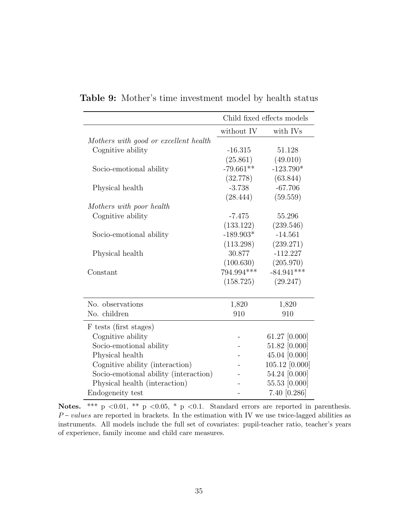|                                       | Child fixed effects models |                |  |
|---------------------------------------|----------------------------|----------------|--|
|                                       | without IV                 | with IVs       |  |
| Mothers with good or excellent health |                            |                |  |
| Cognitive ability                     | $-16.315$                  | 51.128         |  |
|                                       | (25.861)                   | (49.010)       |  |
| Socio-emotional ability               | $-79.661**$                | $-123.790*$    |  |
|                                       | (32.778)                   | (63.844)       |  |
| Physical health                       | $-3.738$                   | $-67.706$      |  |
|                                       | (28.444)                   | (59.559)       |  |
| Mothers with poor health              |                            |                |  |
| Cognitive ability                     | $-7.475$                   | 55.296         |  |
|                                       | (133.122)                  | (239.546)      |  |
| Socio-emotional ability               | $-189.903*$                | $-14.561$      |  |
|                                       | (113.298)                  | (239.271)      |  |
| Physical health                       | 30.877                     | $-112.227$     |  |
|                                       | (100.630)                  | (205.970)      |  |
| Constant                              | 794.994***                 | $-84.941***$   |  |
|                                       | (158.725)                  | (29.247)       |  |
|                                       |                            |                |  |
| No. observations                      | 1,820                      | 1,820          |  |
| No. children                          | 910                        | 910            |  |
| F tests (first stages)                |                            |                |  |
| Cognitive ability                     |                            | 61.27 [0.000]  |  |
| Socio-emotional ability               |                            | 51.82 [0.000]  |  |
| Physical health                       |                            | 45.04 [0.000]  |  |
| Cognitive ability (interaction)       |                            | 105.12 [0.000] |  |
| Socio-emotional ability (interaction) |                            | 54.24 [0.000]  |  |
| Physical health (interaction)         |                            | 55.53 [0.000]  |  |
| Endogeneity test                      |                            | 7.40 [0.286]   |  |

<span id="page-35-0"></span>Table 9: Mother's time investment model by health status

Notes. \*\*\* p <0.01, \*\* p <0.05, \* p <0.1. Standard errors are reported in parenthesis. Physical health (interaction)  $-$  55.53 [0.000]<br>Endogeneity test  $-$  7.40 [0.286]<br>Notes. \*\*\* p <0.01, \*\* p <0.05, \* p <0.1. Standard errors are reported in parenthesis.<br> $P$ -values are reported in brackets. In the estimati instruments. All models include the full set of covariates: pupil-teacher ratio, teacher's years of experience, family income and child care measures.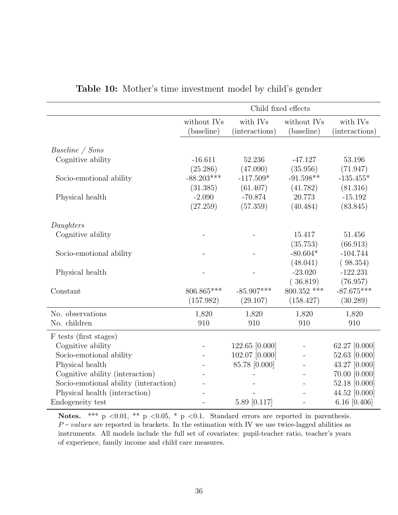<span id="page-36-0"></span>

|                                                                                                                                                                                                                    |                           |                            | Child fixed effects       |                            |
|--------------------------------------------------------------------------------------------------------------------------------------------------------------------------------------------------------------------|---------------------------|----------------------------|---------------------------|----------------------------|
|                                                                                                                                                                                                                    | without IVs<br>(baseline) | with IVs<br>(interactions) | without IVs<br>(baseline) | with IVs<br>(interactions) |
|                                                                                                                                                                                                                    |                           |                            |                           |                            |
| <i>Baseline</i> / Sons                                                                                                                                                                                             |                           |                            |                           |                            |
| Cognitive ability                                                                                                                                                                                                  | $-16.611$                 | 52.236                     | $-47.127$                 | 53.196                     |
|                                                                                                                                                                                                                    | (25.286)                  | (47.090)                   | (35.956)                  | (71.947)                   |
| Socio-emotional ability                                                                                                                                                                                            | $-88.203***$              | $-117.509*$                | $-91.598**$               | $-135.455*$                |
|                                                                                                                                                                                                                    | (31.385)                  | (61.407)                   | (41.782)                  | (81.316)                   |
| Physical health                                                                                                                                                                                                    | $-2.090$                  | $-70.874$                  | 20.773                    | $-15.192$                  |
|                                                                                                                                                                                                                    | (27.259)                  | (57.359)                   | (40.484)                  | (83.845)                   |
| Daughters                                                                                                                                                                                                          |                           |                            |                           |                            |
| Cognitive ability                                                                                                                                                                                                  |                           |                            | 15.417                    | 51.456                     |
|                                                                                                                                                                                                                    |                           |                            | (35.753)                  | (66.913)                   |
| Socio-emotional ability                                                                                                                                                                                            |                           |                            | $-80.604*$                | $-104.744$                 |
|                                                                                                                                                                                                                    |                           |                            | (48.041)                  | (98.354)                   |
| Physical health                                                                                                                                                                                                    |                           |                            | $-23.020$                 | $-122.231$                 |
|                                                                                                                                                                                                                    |                           |                            | (36.819)                  | (76.957)                   |
| Constant                                                                                                                                                                                                           | 806.865***                | $-85.907***$               | 800.352 ***               | $-87.675***$               |
|                                                                                                                                                                                                                    | (157.982)                 | (29.107)                   | (158.427)                 | (30.289)                   |
| No. observations                                                                                                                                                                                                   | 1,820                     | 1,820                      | 1,820                     | 1,820                      |
| No. children                                                                                                                                                                                                       | 910                       | 910                        | 910                       | 910                        |
| F tests (first stages)                                                                                                                                                                                             |                           |                            |                           |                            |
| Cognitive ability                                                                                                                                                                                                  | $\overline{a}$            | 122.65 [0.000]             | $\bar{ }$                 | 62.27 [0.000]              |
| Socio-emotional ability                                                                                                                                                                                            |                           | 102.07 [0.000]             |                           | 52.63 [0.000]              |
| Physical health                                                                                                                                                                                                    |                           | 85.78 [0.000]              |                           | 43.27 [0.000]              |
| Cognitive ability (interaction)                                                                                                                                                                                    |                           |                            |                           | 70.00 [0.000]              |
| Socio-emotional ability (interaction)                                                                                                                                                                              |                           |                            |                           | 52.18 [0.000]              |
| Physical health (interaction)                                                                                                                                                                                      |                           |                            |                           | 44.52 [0.000]              |
| Endogeneity test                                                                                                                                                                                                   |                           | 5.89 [0.117]               |                           | 6.16 $[0.406]$             |
| <b>Notes.</b> *** $p \le 0.01$ , ** $p \le 0.05$ , * $p \le 0.1$ . Standard errors are reported in parenthesis.<br>$P-values$ are reported in brackets. In the estimation with IV we use twice-lagged abilities as |                           |                            |                           |                            |

Table 10: Mother's time investment model by child's gender

Notes. \*\*\* p <0.01, \*\* p <0.05, \* p <0.1. Standard errors are reported in parenthesis. instruments. All models include the full set of covariates: pupil-teacher ratio, teacher's years of experience, family income and child care measures.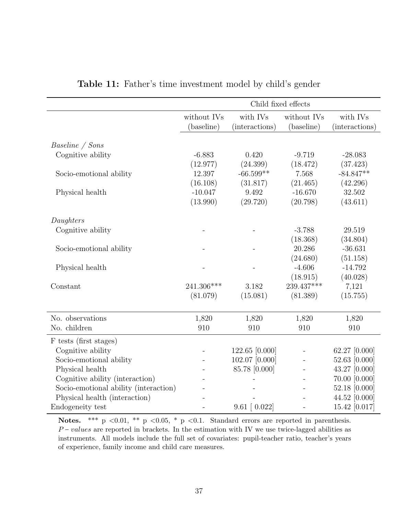<span id="page-37-0"></span>

|                                       |                |                    | Child fixed effects      |                |
|---------------------------------------|----------------|--------------------|--------------------------|----------------|
|                                       | without IVs    | with IVs           | without IVs              | with IVs       |
|                                       | (baseline)     | (interactions)     | (baseline)               | (interactions) |
|                                       |                |                    |                          |                |
| Baseline / Sons                       |                |                    |                          |                |
| Cognitive ability                     | $-6.883$       | 0.420              | $-9.719$                 | $-28.083$      |
|                                       | (12.977)       | (24.399)           | (18.472)                 | (37.423)       |
| Socio-emotional ability               | 12.397         | $-66.599**$        | 7.568                    | $-84.847**$    |
|                                       | (16.108)       | (31.817)           | (21.465)                 | (42.296)       |
| Physical health                       | $-10.047$      | 9.492              | $-16.670$                | 32.502         |
|                                       | (13.990)       | (29.720)           | (20.798)                 | (43.611)       |
|                                       |                |                    |                          |                |
| Daughters                             |                |                    |                          |                |
| Cognitive ability                     |                |                    | $-3.788$                 | 29.519         |
|                                       |                |                    | (18.368)                 | (34.804)       |
| Socio-emotional ability               |                |                    | 20.286                   | $-36.631$      |
|                                       |                |                    | (24.680)                 | (51.158)       |
| Physical health                       |                |                    | $-4.606$                 | $-14.792$      |
|                                       |                |                    | (18.915)                 | (40.028)       |
| Constant                              | 241.306***     | 3.182              | 239.437***               | 7,121          |
|                                       | (81.079)       | (15.081)           | (81.389)                 | (15.755)       |
|                                       |                |                    |                          |                |
| No. observations                      | 1,820          | 1,820              | 1,820                    | 1,820          |
| No. children                          | 910            | 910                | 910                      | 910            |
| F tests (first stages)                |                |                    |                          |                |
| Cognitive ability                     | $\overline{a}$ | 122.65 [0.000]     | $\overline{\phantom{a}}$ | 62.27 [0.000]  |
| Socio-emotional ability               |                | 102.07 [0.000]     |                          | 52.63 [0.000]  |
| Physical health                       |                | 85.78 [0.000]      |                          | 43.27 [0.000]  |
| Cognitive ability (interaction)       |                |                    |                          | 70.00 [0.000]  |
| Socio-emotional ability (interaction) |                |                    |                          | 52.18 [0.000]  |
| Physical health (interaction)         |                |                    |                          | 44.52 [0.000]  |
| Endogeneity test                      |                | $9.61$ [ $0.022$ ] |                          | 15.42 [0.017]  |

|  |  |  | Table 11: Father's time investment model by child's gender |  |  |  |  |
|--|--|--|------------------------------------------------------------|--|--|--|--|
|--|--|--|------------------------------------------------------------|--|--|--|--|

Notes. \*\*\* p <0.01, \*\* p <0.05, \* p <0.1. Standard errors are reported in parenthesis. Physical health (interaction)<br>  $\frac{44.52}{\text{Notes.}}$  +  $\frac{44.52}{\text{Notes.}}$ <br>  $\frac{44.52}{\text{Notes.}}$ <br>  $\frac{44.52}{\text{Notes.}}$ <br>  $\frac{44.52}{\text{Notes.}}$ <br>  $\frac{44.52}{\text{Notes.}}$ <br>  $\frac{44.52}{\text{Notes.}}$ <br>  $\frac{44.52}{\text{Notes.}}$ <br>  $\frac{44.52}{\text{Notes.}}$ <br>  $\frac{44.52$ instruments. All models include the full set of covariates: pupil-teacher ratio, teacher's years of experience, family income and child care measures.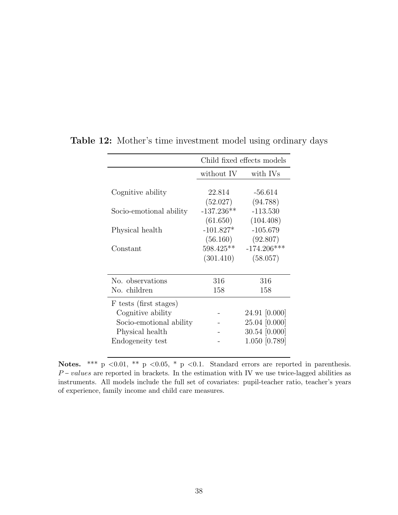|                         | Child fixed effects models |                           |
|-------------------------|----------------------------|---------------------------|
|                         | without IV                 | with IVs                  |
| Cognitive ability       | 22.814                     | $-56.614$                 |
|                         | (52.027)                   | (94.788)                  |
| Socio-emotional ability | $-137.236**$<br>(61.650)   | $-113.530$<br>(104.408)   |
| Physical health         | $-101.827*$                | $-105.679$                |
|                         | (56.160)                   | (92.807)                  |
| $\text{Constant}$       | 598.425**<br>(301.410)     | $-174.206***$<br>(58.057) |
|                         |                            |                           |
| No. observations        | 316                        | 316                       |
| No. children            | 158                        | 158                       |
| F tests (first stages)  |                            |                           |
| Cognitive ability       |                            | 24.91 [0.000]             |
| Socio-emotional ability |                            | 25.04 [0.000]             |
| Physical health         |                            | $30.54$ [0.000]           |
| Endogeneity test        |                            | 1.050 [0.789]             |

<span id="page-38-0"></span>Table 12: Mother's time investment model using ordinary days

Notes. \*\*\* p <0.01, \*\* p <0.05, \* p <0.1. Standard errors are reported in parenthesis. Endogeneity test Fig. 20.01,  $\frac{1.050}{2}$  [0.789]<br>Notes.  $\frac{***}{P}$   $\frac{1.050}{2}$  [0.789]<br>P – *values* are reported in brackets. In the estimation with IV we use twice-lagged abilities as instruments. All models include the full set of covariates: pupil-teacher ratio, teacher's years of experience, family income and child care measures.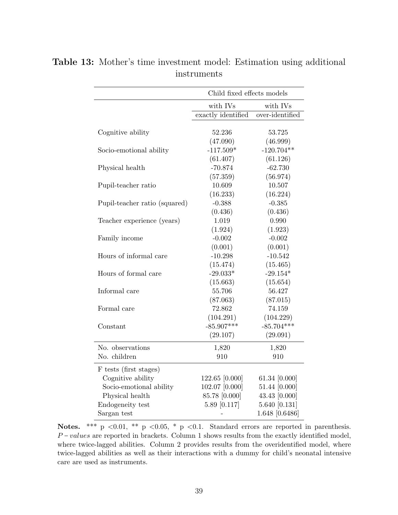|                               | Child fixed effects models |                    |  |
|-------------------------------|----------------------------|--------------------|--|
|                               | with IVs                   | with IVs           |  |
|                               | exactly identified         | over-identified    |  |
| Cognitive ability             | 52.236<br>(47.090)         | 53.725<br>(46.999) |  |
| Socio-emotional ability       | $-117.509*$                | $-120.704**$       |  |
|                               | (61.407)                   | (61.126)           |  |
| Physical health               | $-70.874$                  | $-62.730$          |  |
|                               | (57.359)                   | (56.974)           |  |
| Pupil-teacher ratio           | 10.609                     | 10.507             |  |
|                               | (16.233)                   | (16.224)           |  |
| Pupil-teacher ratio (squared) | $-0.388$                   | $-0.385$           |  |
|                               | (0.436)                    | (0.436)            |  |
| Teacher experience (years)    | 1.019                      | 0.990              |  |
|                               | (1.924)                    | (1.923)            |  |
| Family income                 | $-0.002$                   | $-0.002$           |  |
|                               | (0.001)                    | (0.001)            |  |
| Hours of informal care        | $-10.298$                  | $-10.542$          |  |
|                               | (15.474)                   | (15.465)           |  |
| Hours of formal care          | $-29.033*$                 | $-29.154*$         |  |
|                               | (15.663)                   | (15.654)           |  |
| Informal care                 | 55.706                     | 56.427             |  |
|                               | (87.063)                   | (87.015)           |  |
| Formal care                   | 72.862                     | 74.159             |  |
|                               | (104.291)                  | (104.229)          |  |
| Constant                      | $-85.907***$               | $-85.704***$       |  |
|                               | (29.107)                   | (29.091)           |  |
| No. observations              | 1,820                      | 1,820              |  |
| No. children                  | 910                        | 910                |  |
| F tests (first stages)        |                            |                    |  |
| Cognitive ability             | 122.65 [0.000]             | 61.34 [0.000]      |  |
| Socio-emotional ability       | 102.07 [0.000]             | 51.44 [0.000]      |  |
| Physical health               | 85.78 [0.000]              | 43.43 [0.000]      |  |
| Endogeneity test              | 5.89 [0.117]               | 5.640 [0.131]      |  |
| Sargan test                   |                            | 1.648 [0.6486]     |  |

<span id="page-39-0"></span>Table 13: Mother's time investment model: Estimation using additional instruments

Notes. \*\*\* p <0.01, \*\* p <0.05, \* p <0.1. Standard errors are reported in parenthesis. Endogeneity test  $\begin{array}{ccc} \text{Endogeneity test} & 5.89 & [0.117] & 5.640 & [0.131] \\ \text{Sargan test} & - & 1.648 & [0.6486] \\ \text{Notes.} & ** & p <0.01, ** p <0.05, * p <0.1. \end{array}$  Standard errors are reported in parenthesis.  $P-values$  are reported in brackets. Column 1 sho where twice-lagged abilities. Column 2 provides results from the overidentified model, where twice-lagged abilities as well as their interactions with a dummy for child's neonatal intensive care are used as instruments.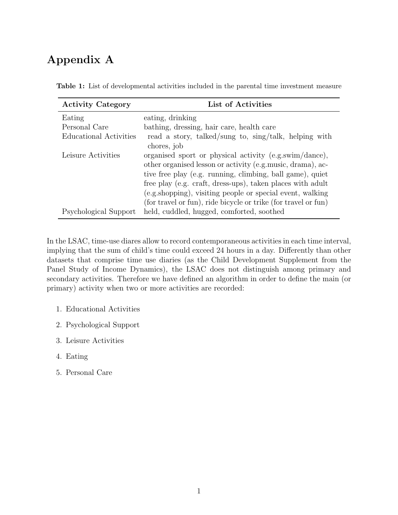# Appendix A

| <b>Activity Category</b> | List of Activities                                             |
|--------------------------|----------------------------------------------------------------|
| Eating                   | eating, drinking                                               |
| Personal Care            | bathing, dressing, hair care, health care                      |
| Educational Activities   | read a story, talked/sung to, sing/talk, helping with          |
|                          | chores, job                                                    |
| Leisure Activities       | organised sport or physical activity (e.g.swim/dance),         |
|                          | other organised lesson or activity (e.g. music, drama), ac-    |
|                          | tive free play (e.g. running, climbing, ball game), quiet      |
|                          | free play (e.g. craft, dress-ups), taken places with adult     |
|                          | (e.g.shopping), visiting people or special event, walking      |
|                          | (for travel or fun), ride bicycle or trike (for travel or fun) |
| Psychological Support    | held, cuddled, hugged, comforted, soothed                      |

Table 1: List of developmental activities included in the parental time investment measure

In the LSAC, time-use diares allow to record contemporaneous activities in each time interval, implying that the sum of child's time could exceed 24 hours in a day. Differently than other datasets that comprise time use diaries (as the Child Development Supplement from the Panel Study of Income Dynamics), the LSAC does not distinguish among primary and secondary activities. Therefore we have defined an algorithm in order to define the main (or primary) activity when two or more activities are recorded:

- 1. Educational Activities
- 2. Psychological Support
- 3. Leisure Activities
- 4. Eating
- 5. Personal Care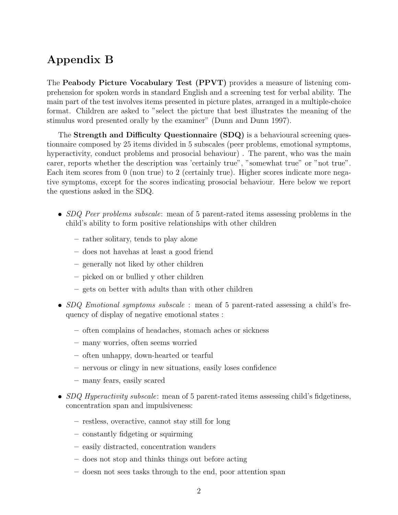# Appendix B

The Peabody Picture Vocabulary Test (PPVT) provides a measure of listening comprehension for spoken words in standard English and a screening test for verbal ability. The main part of the test involves items presented in picture plates, arranged in a multiple-choice format. Children are asked to "select the picture that best illustrates the meaning of the stimulus word presented orally by the examiner" (Dunn and Dunn 1997).

The Strength and Difficulty Questionnaire (SDQ) is a behavioural screening questionnaire composed by 25 items divided in 5 subscales (peer problems, emotional symptoms, hyperactivity, conduct problems and prosocial behaviour). The parent, who was the main carer, reports whether the description was 'certainly true", "somewhat true" or "not true". Each item scores from 0 (non true) to 2 (certainly true). Higher scores indicate more negative symptoms, except for the scores indicating prosocial behaviour. Here below we report the questions asked in the SDQ.

- $\bullet$  SDQ Peer problems subscale: mean of 5 parent-rated items assessing problems in the child's ability to form positive relationships with other children
	- rather solitary, tends to play alone
	- does not havehas at least a good friend
	- generally not liked by other children
	- picked on or bullied y other children
	- gets on better with adults than with other children
- SDQ Emotional symptoms subscale : mean of 5 parent-rated assessing a child's frequency of display of negative emotional states :
	- often complains of headaches, stomach aches or sickness
	- many worries, often seems worried
	- often unhappy, down-hearted or tearful
	- nervous or clingy in new situations, easily loses confidence
	- many fears, easily scared
- $\bullet$  SDQ Hyperactivity subscale: mean of 5 parent-rated items assessing child's fidgetiness, concentration span and impulsiveness:
	- restless, overactive, cannot stay still for long
	- constantly fidgeting or squirming
	- easily distracted, concentration wanders
	- does not stop and thinks things out before acting
	- doesn not sees tasks through to the end, poor attention span